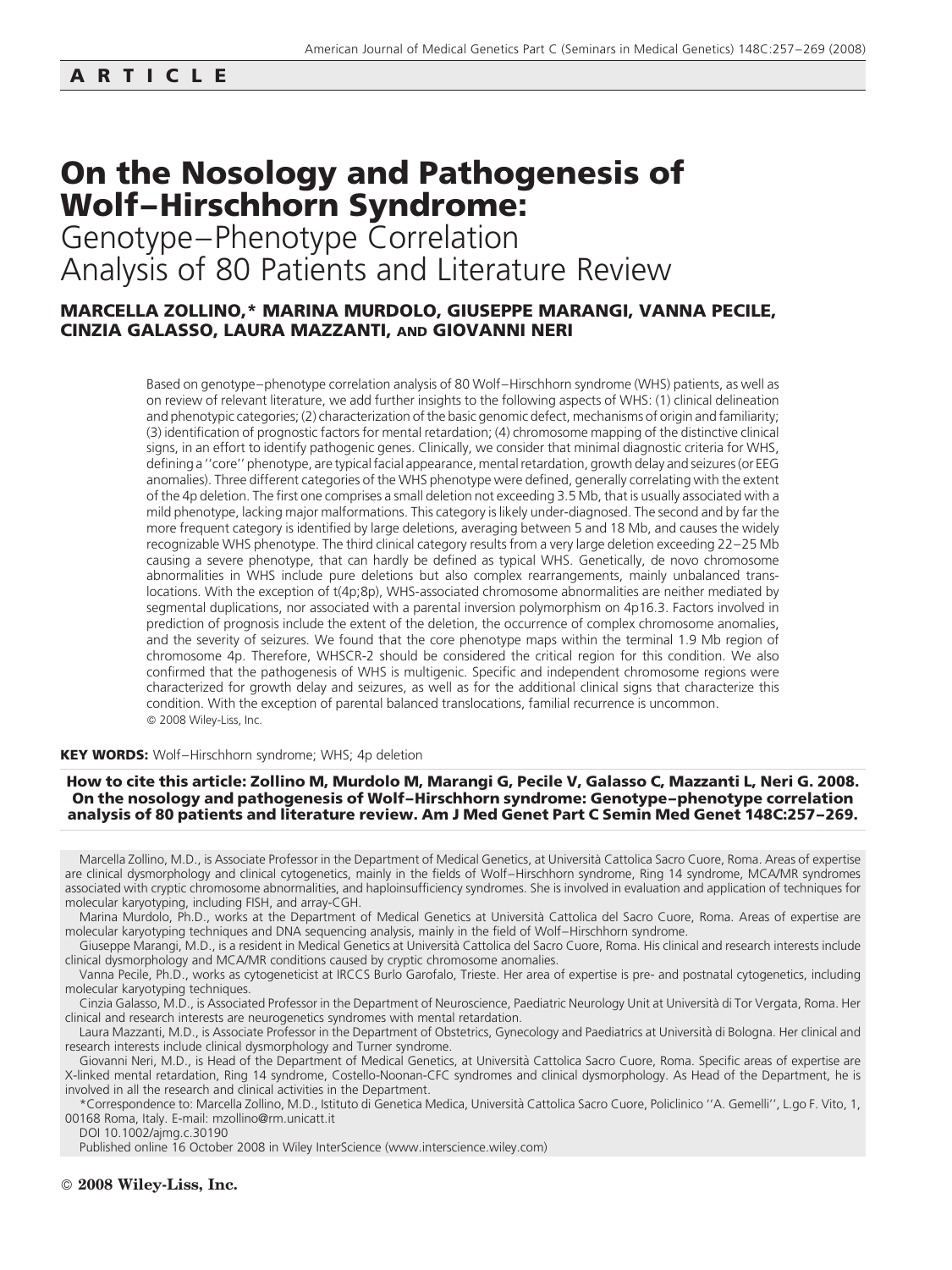# On the Nosology and Pathogenesis of Wolf–Hirschhorn Syndrome:

Genotype–Phenotype Correlation Analysis of 80 Patients and Literature Review

### MARCELLA ZOLLINO,\* MARINA MURDOLO, GIUSEPPE MARANGI, VANNA PECILE, CINZIA GALASSO, LAURA MAZZANTI, AND GIOVANNI NERI

Based on genotype–phenotype correlation analysis of 80 Wolf–Hirschhorn syndrome (WHS) patients, as well as on review of relevant literature, we add further insights to the following aspects of WHS: (1) clinical delineation and phenotypic categories; (2) characterization of the basic genomic defect, mechanisms of origin and familiarity; (3) identification of prognostic factors for mental retardation; (4) chromosome mapping of the distinctive clinical signs, in an effort to identify pathogenic genes. Clinically, we consider that minimal diagnostic criteria for WHS, defining a ''core'' phenotype, are typical facial appearance, mental retardation, growth delay and seizures (or EEG anomalies). Three different categories of the WHS phenotype were defined, generally correlating with the extent of the 4p deletion. The first one comprises a small deletion not exceeding 3.5 Mb, that is usually associated with a mild phenotype, lacking major malformations. This category is likely under-diagnosed. The second and by far the more frequent category is identified by large deletions, averaging between 5 and 18 Mb, and causes the widely recognizable WHS phenotype. The third clinical category results from a very large deletion exceeding 22–25 Mb causing a severe phenotype, that can hardly be defined as typical WHS. Genetically, de novo chromosome abnormalities in WHS include pure deletions but also complex rearrangements, mainly unbalanced translocations. With the exception of t(4p;8p), WHS-associated chromosome abnormalities are neither mediated by segmental duplications, nor associated with a parental inversion polymorphism on 4p16.3. Factors involved in prediction of prognosis include the extent of the deletion, the occurrence of complex chromosome anomalies, and the severity of seizures. We found that the core phenotype maps within the terminal 1.9 Mb region of chromosome 4p. Therefore, WHSCR-2 should be considered the critical region for this condition. We also confirmed that the pathogenesis of WHS is multigenic. Specific and independent chromosome regions were characterized for growth delay and seizures, as well as for the additional clinical signs that characterize this condition. With the exception of parental balanced translocations, familial recurrence is uncommon. 2008 Wiley-Liss, Inc.

KEY WORDS: Wolf-Hirschhorn syndrome; WHS; 4p deletion

### How to cite this article: Zollino M, Murdolo M, Marangi G, Pecile V, Galasso C, Mazzanti L, Neri G. 2008. On the nosology and pathogenesis of Wolf–Hirschhorn syndrome: Genotype–phenotype correlation analysis of 80 patients and literature review. Am J Med Genet Part C Semin Med Genet 148C:257–269.

Marcella Zollino, M.D., is Associate Professor in the Department of Medical Genetics, at Università Cattolica Sacro Cuore, Roma. Areas of expertise are clinical dysmorphology and clinical cytogenetics, mainly in the fields of Wolf–Hirschhorn syndrome, Ring 14 syndrome, MCA/MR syndromes associated with cryptic chromosome abnormalities, and haploinsufficiency syndromes. She is involved in evaluation and application of techniques for molecular karyotyping, including FISH, and array-CGH.

Marina Murdolo, Ph.D., works at the Department of Medical Genetics at Università Cattolica del Sacro Cuore, Roma. Areas of expertise are molecular karyotyping techniques and DNA sequencing analysis, mainly in the field of Wolf–Hirschhorn syndrome.

Giuseppe Marangi, M.D., is a resident in Medical Genetics at Universita` Cattolica del Sacro Cuore, Roma. His clinical and research interests include clinical dysmorphology and MCA/MR conditions caused by cryptic chromosome anomalies.

Vanna Pecile, Ph.D., works as cytogeneticist at IRCCS Burlo Garofalo, Trieste. Her area of expertise is pre- and postnatal cytogenetics, including molecular karyotyping techniques.

Cinzia Galasso, M.D., is Associated Professor in the Department of Neuroscience, Paediatric Neurology Unit at Universita` di Tor Vergata, Roma. Her clinical and research interests are neurogenetics syndromes with mental retardation.

Laura Mazzanti, M.D., is Associate Professor in the Department of Obstetrics, Gynecology and Paediatrics at Università di Bologna. Her clinical and research interests include clinical dysmorphology and Turner syndrome.

Giovanni Neri, M.D., is Head of the Department of Medical Genetics, at Università Cattolica Sacro Cuore, Roma. Specific areas of expertise are X-linked mental retardation, Ring 14 syndrome, Costello-Noonan-CFC syndromes and clinical dysmorphology. As Head of the Department, he is involved in all the research and clinical activities in the Department.

\*Correspondence to: Marcella Zollino, M.D., Istituto di Genetica Medica, Universita` Cattolica Sacro Cuore, Policlinico ''A. Gemelli'', L.go F. Vito, 1, 00168 Roma, Italy. E-mail: mzollino@rm.unicatt.it

DOI 10.1002/ajmg.c.30190

Published online 16 October 2008 in Wiley InterScience (www.interscience.wiley.com)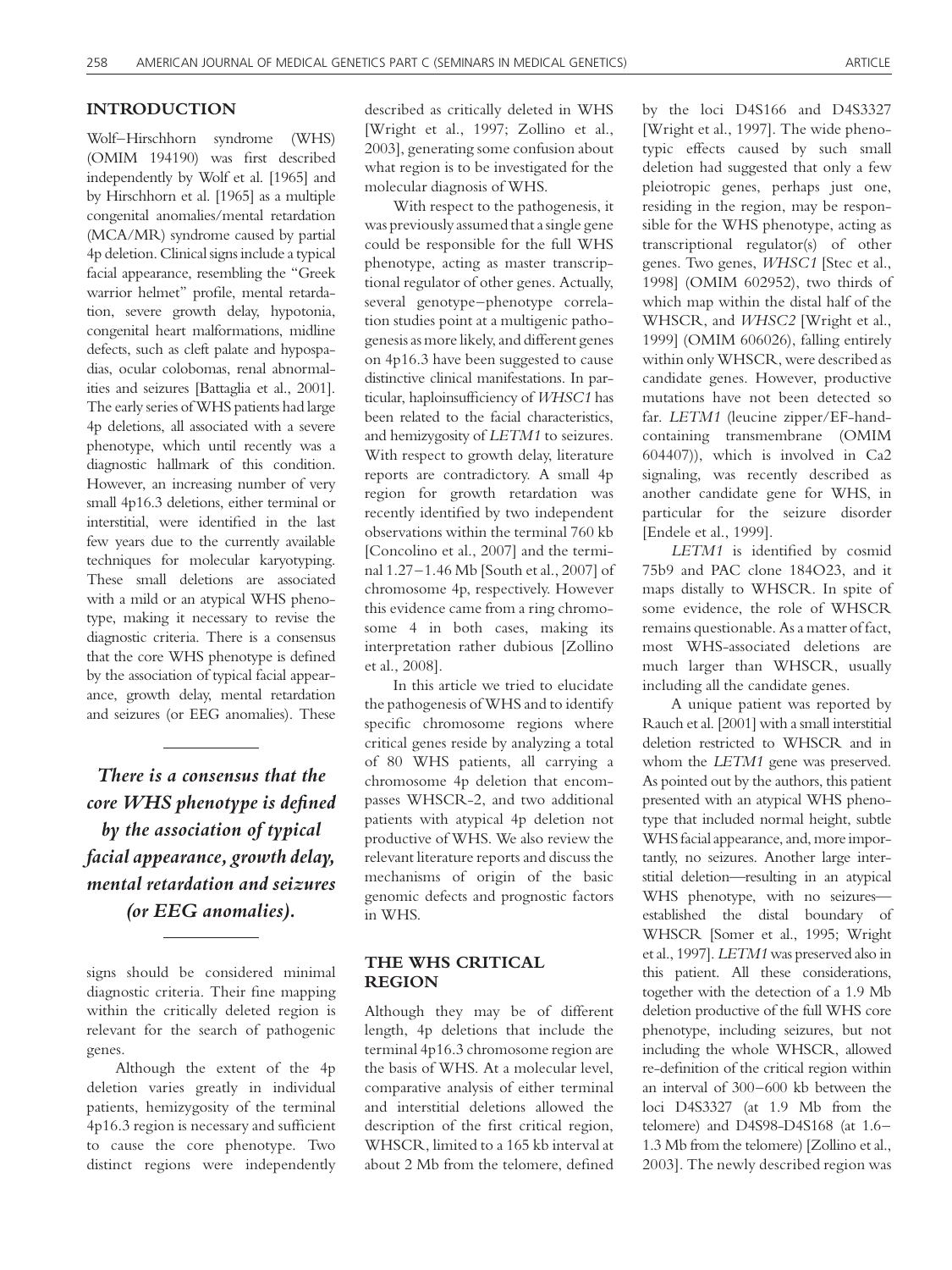#### INTRODUCTION

Wolf–Hirschhorn syndrome (WHS) (OMIM 194190) was first described independently by Wolf et al. [1965] and by Hirschhorn et al. [1965] as a multiple congenital anomalies/mental retardation (MCA/MR) syndrome caused by partial 4p deletion. Clinical signs include a typical facial appearance, resembling the ''Greek warrior helmet'' profile, mental retardation, severe growth delay, hypotonia, congenital heart malformations, midline defects, such as cleft palate and hypospadias, ocular colobomas, renal abnormalities and seizures [Battaglia et al., 2001]. The early series of WHS patients had large 4p deletions, all associated with a severe phenotype, which until recently was a diagnostic hallmark of this condition. However, an increasing number of very small 4p16.3 deletions, either terminal or interstitial, were identified in the last few years due to the currently available techniques for molecular karyotyping. These small deletions are associated with a mild or an atypical WHS phenotype, making it necessary to revise the diagnostic criteria. There is a consensus that the core WHS phenotype is defined by the association of typical facial appearance, growth delay, mental retardation and seizures (or EEG anomalies). These

There is a consensus that the core WHS phenotype is defined by the association of typical facial appearance, growth delay, mental retardation and seizures (or EEG anomalies).

signs should be considered minimal diagnostic criteria. Their fine mapping within the critically deleted region is relevant for the search of pathogenic genes.

Although the extent of the 4p deletion varies greatly in individual patients, hemizygosity of the terminal 4p16.3 region is necessary and sufficient to cause the core phenotype. Two distinct regions were independently

described as critically deleted in WHS [Wright et al., 1997; Zollino et al., 2003], generating some confusion about what region is to be investigated for the molecular diagnosis of WHS.

With respect to the pathogenesis, it was previouslyassumed that a single gene could be responsible for the full WHS phenotype, acting as master transcriptional regulator of other genes. Actually, several genotype–phenotype correlation studies point at a multigenic pathogenesis as more likely, and different genes on 4p16.3 have been suggested to cause distinctive clinical manifestations. In particular, haploinsufficiency of WHSC1 has been related to the facial characteristics, and hemizygosity of LETM1 to seizures. With respect to growth delay, literature reports are contradictory. A small 4p region for growth retardation was recently identified by two independent observations within the terminal 760 kb [Concolino et al., 2007] and the terminal 1.27–1.46 Mb [South et al., 2007] of chromosome 4p, respectively. However this evidence came from a ring chromosome 4 in both cases, making its interpretation rather dubious [Zollino et al., 2008].

In this article we tried to elucidate the pathogenesis of WHS and to identify specific chromosome regions where critical genes reside by analyzing a total of 80 WHS patients, all carrying a chromosome 4p deletion that encompasses WHSCR-2, and two additional patients with atypical 4p deletion not productive of WHS. We also review the relevant literature reports and discuss the mechanisms of origin of the basic genomic defects and prognostic factors in WHS.

### THE WHS CRITICAL REGION

Although they may be of different length, 4p deletions that include the terminal 4p16.3 chromosome region are the basis of WHS. At a molecular level, comparative analysis of either terminal and interstitial deletions allowed the description of the first critical region, WHSCR, limited to a 165 kb interval at about 2 Mb from the telomere, defined

by the loci D4S166 and D4S3327 [Wright et al., 1997]. The wide phenotypic effects caused by such small deletion had suggested that only a few pleiotropic genes, perhaps just one, residing in the region, may be responsible for the WHS phenotype, acting as transcriptional regulator(s) of other genes. Two genes, WHSC1 [Stec et al., 1998] (OMIM 602952), two thirds of which map within the distal half of the WHSCR, and WHSC2 [Wright et al., 1999] (OMIM 606026), falling entirely within only WHSCR, were described as candidate genes. However, productive mutations have not been detected so far. LETM1 (leucine zipper/EF-handcontaining transmembrane (OMIM 604407)), which is involved in Ca2 signaling, was recently described as another candidate gene for WHS, in particular for the seizure disorder [Endele et al., 1999].

LETM1 is identified by cosmid 75b9 and PAC clone 184O23, and it maps distally to WHSCR. In spite of some evidence, the role of WHSCR remains questionable. As a matter of fact, most WHS-associated deletions are much larger than WHSCR, usually including all the candidate genes.

A unique patient was reported by Rauch et al. [2001] with a small interstitial deletion restricted to WHSCR and in whom the *LETM1* gene was preserved. As pointed out by the authors, this patient presented with an atypical WHS phenotype that included normal height, subtle WHS facial appearance, and, more importantly, no seizures. Another large interstitial deletion—resulting in an atypical WHS phenotype, with no seizures established the distal boundary of WHSCR [Somer et al., 1995; Wright et al., 1997]. LETM1 was preserved also in this patient. All these considerations, together with the detection of a 1.9 Mb deletion productive of the full WHS core phenotype, including seizures, but not including the whole WHSCR, allowed re-definition of the critical region within an interval of 300–600 kb between the loci D4S3327 (at 1.9 Mb from the telomere) and D4S98-D4S168 (at 1.6– 1.3 Mb from the telomere) [Zollino et al., 2003]. The newly described region was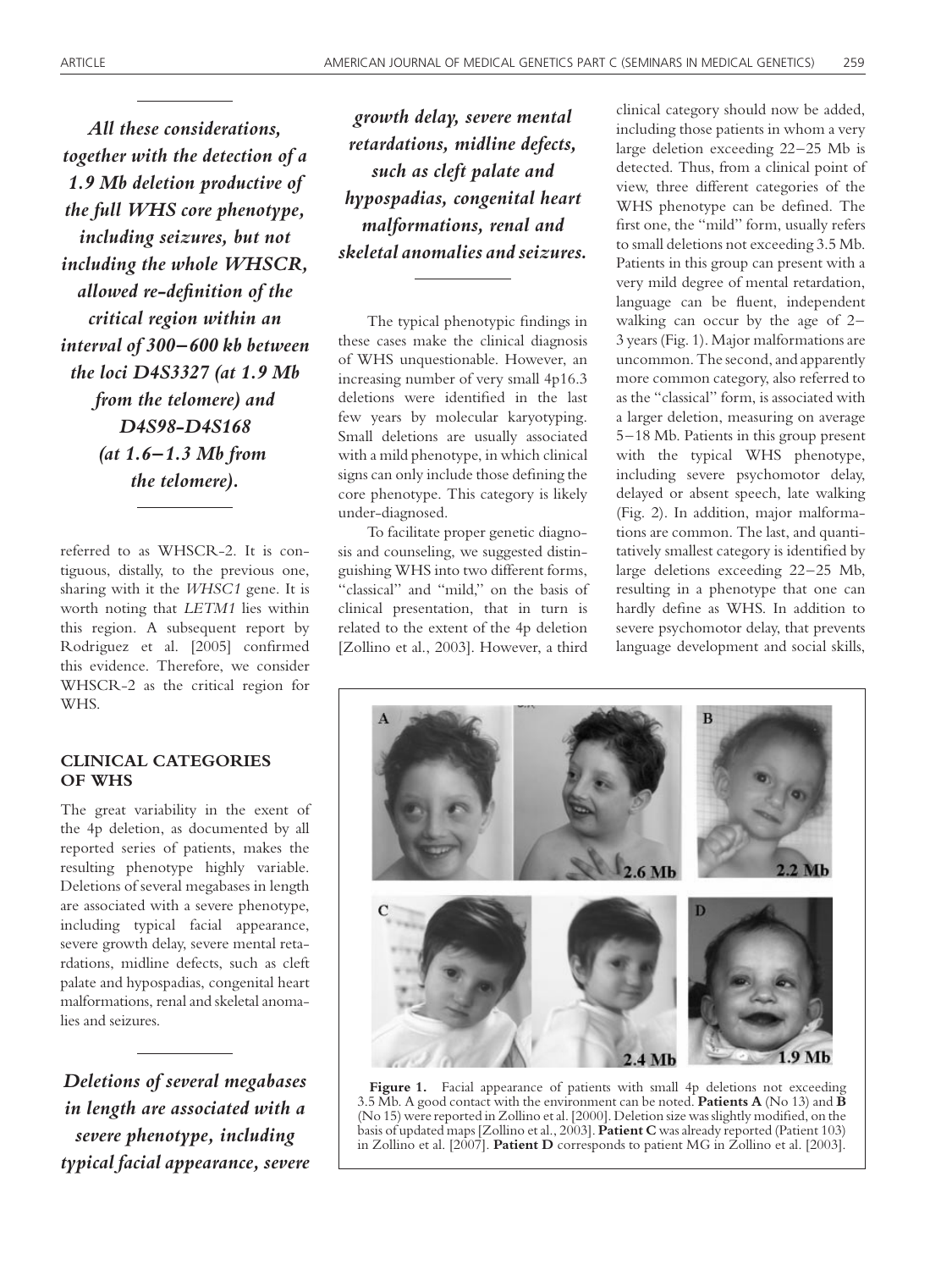All these considerations, together with the detection of a 1.9 Mb deletion productive of the full WHS core phenotype, including seizures, but not including the whole WHSCR, allowed re-definition of the critical region within an interval of 300–600 kb between the loci D4S3327 (at 1.9 Mb from the telomere) and D4S98-D4S168  $(at 1.6 - 1.3 Mb from$ the telomere).

referred to as WHSCR-2. It is contiguous, distally, to the previous one, sharing with it the WHSC1 gene. It is worth noting that LETM1 lies within this region. A subsequent report by Rodriguez et al. [2005] confirmed this evidence. Therefore, we consider WHSCR-2 as the critical region for WHS.

### CLINICAL CATEGORIES OF WHS

The great variability in the exent of the 4p deletion, as documented by all reported series of patients, makes the resulting phenotype highly variable. Deletions of several megabases in length are associated with a severe phenotype, including typical facial appearance, severe growth delay, severe mental retardations, midline defects, such as cleft palate and hypospadias, congenital heart malformations, renal and skeletal anomalies and seizures.

Deletions of several megabases in length are associated with a severe phenotype, including typical facial appearance, severe

growth delay, severe mental retardations, midline defects, such as cleft palate and hypospadias, congenital heart malformations, renal and skeletal anomalies and seizures.

The typical phenotypic findings in these cases make the clinical diagnosis of WHS unquestionable. However, an increasing number of very small 4p16.3 deletions were identified in the last few years by molecular karyotyping. Small deletions are usually associated with a mild phenotype, in which clinical signs can only include those defining the core phenotype. This category is likely under-diagnosed.

To facilitate proper genetic diagnosis and counseling, we suggested distinguishing WHS into two different forms, "classical" and "mild," on the basis of clinical presentation, that in turn is related to the extent of the 4p deletion [Zollino et al., 2003]. However, a third

clinical category should now be added, including those patients in whom a very large deletion exceeding 22–25 Mb is detected. Thus, from a clinical point of view, three different categories of the WHS phenotype can be defined. The first one, the ''mild'' form, usually refers to small deletions not exceeding 3.5 Mb. Patients in this group can present with a very mild degree of mental retardation, language can be fluent, independent walking can occur by the age of 2– 3 years (Fig. 1). Major malformations are uncommon. The second, and apparently more common category, also referred to as the ''classical'' form, is associated with a larger deletion, measuring on average 5–18 Mb. Patients in this group present with the typical WHS phenotype, including severe psychomotor delay, delayed or absent speech, late walking (Fig. 2). In addition, major malformations are common. The last, and quantitatively smallest category is identified by large deletions exceeding 22–25 Mb, resulting in a phenotype that one can hardly define as WHS. In addition to severe psychomotor delay, that prevents language development and social skills,



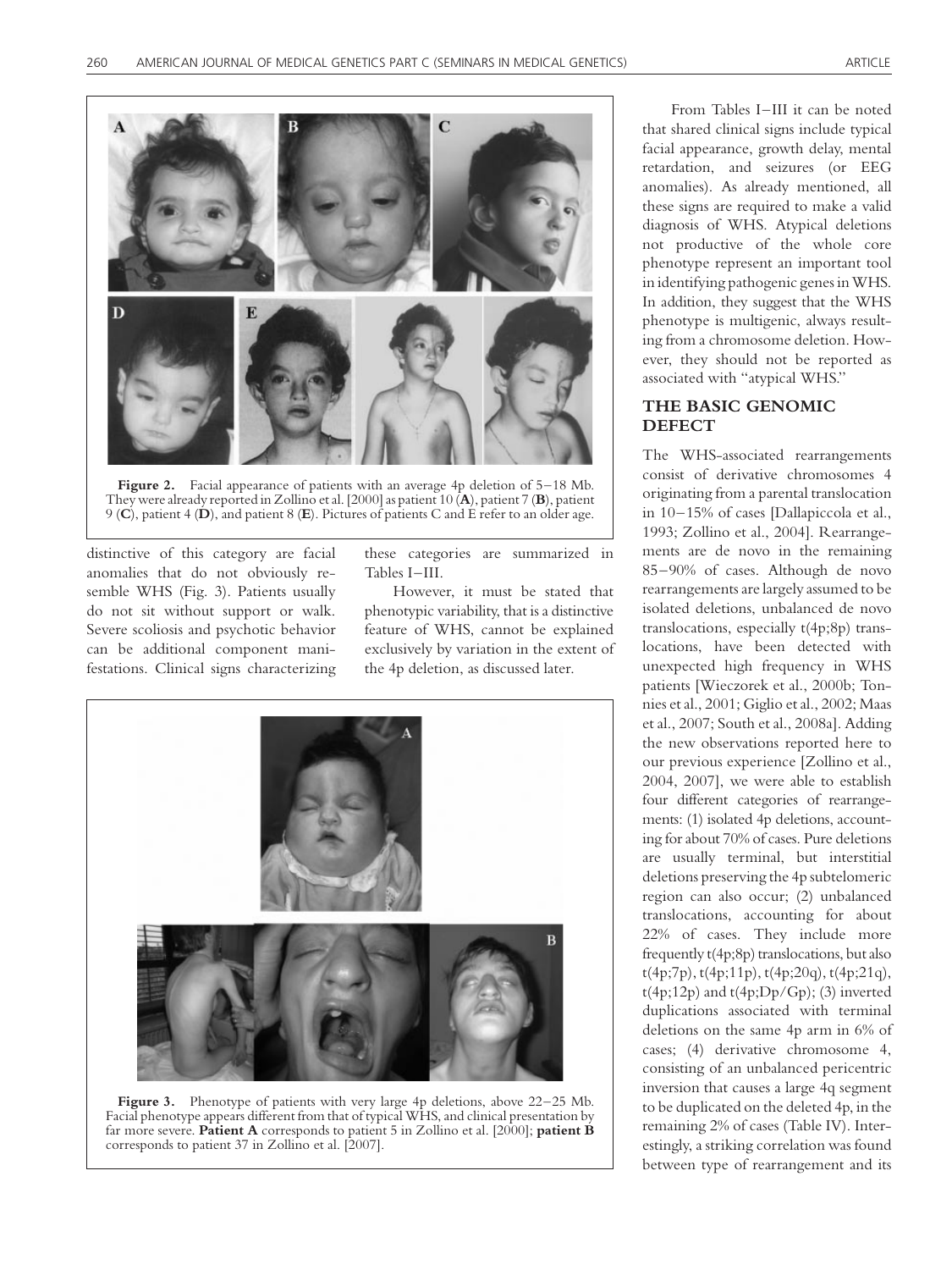

Figure 2. Facial appearance of patients with an average 4p deletion of 5-18 Mb. They were already reported in Zollino et al. [2000] as patient 10  $(\mathbf{A})$ , patient 7  $(\mathbf{B})$ , patient 9 (C), patient 4 (D), and patient 8 (E). Pictures of patients C and E refer to an older age.

distinctive of this category are facial anomalies that do not obviously resemble WHS (Fig. 3). Patients usually do not sit without support or walk. Severe scoliosis and psychotic behavior can be additional component manifestations. Clinical signs characterizing these categories are summarized in Tables I–III.

However, it must be stated that phenotypic variability, that is a distinctive feature of WHS, cannot be explained exclusively by variation in the extent of the 4p deletion, as discussed later.



Figure 3. Phenotype of patients with very large 4p deletions, above 22-25 Mb. Facial phenotype appears different from that of typical WHS, and clinical presentation by far more severe. Patient A corresponds to patient 5 in Zollino et al. [2000]; patient  $\hat{B}$ corresponds to patient 37 in Zollino et al. [2007].

From Tables I–III it can be noted that shared clinical signs include typical facial appearance, growth delay, mental retardation, and seizures (or EEG anomalies). As already mentioned, all these signs are required to make a valid diagnosis of WHS. Atypical deletions not productive of the whole core phenotype represent an important tool in identifying pathogenic genes in WHS. In addition, they suggest that the WHS phenotype is multigenic, always resulting from a chromosome deletion. However, they should not be reported as associated with ''atypical WHS.''

### THE BASIC GENOMIC **DEFECT**

The WHS-associated rearrangements consist of derivative chromosomes 4 originating from a parental translocation in 10–15% of cases [Dallapiccola et al., 1993; Zollino et al., 2004]. Rearrangements are de novo in the remaining 85–90% of cases. Although de novo rearrangements are largely assumed to be isolated deletions, unbalanced de novo translocations, especially t(4p;8p) translocations, have been detected with unexpected high frequency in WHS patients [Wieczorek et al., 2000b; Tonnies et al., 2001; Giglio et al., 2002; Maas et al., 2007; South et al., 2008a]. Adding the new observations reported here to our previous experience [Zollino et al., 2004, 2007], we were able to establish four different categories of rearrangements: (1) isolated 4p deletions, accounting for about 70% of cases. Pure deletions are usually terminal, but interstitial deletions preserving the 4p subtelomeric region can also occur; (2) unbalanced translocations, accounting for about 22% of cases. They include more frequently t(4p;8p) translocations, but also t(4p;7p), t(4p;11p), t(4p;20q), t(4p;21q),  $t(4p;12p)$  and  $t(4p;Dp/Gp)$ ; (3) inverted duplications associated with terminal deletions on the same 4p arm in 6% of cases; (4) derivative chromosome 4, consisting of an unbalanced pericentric inversion that causes a large 4q segment to be duplicated on the deleted 4p, in the remaining 2% of cases (Table IV). Interestingly, a striking correlation was found between type of rearrangement and its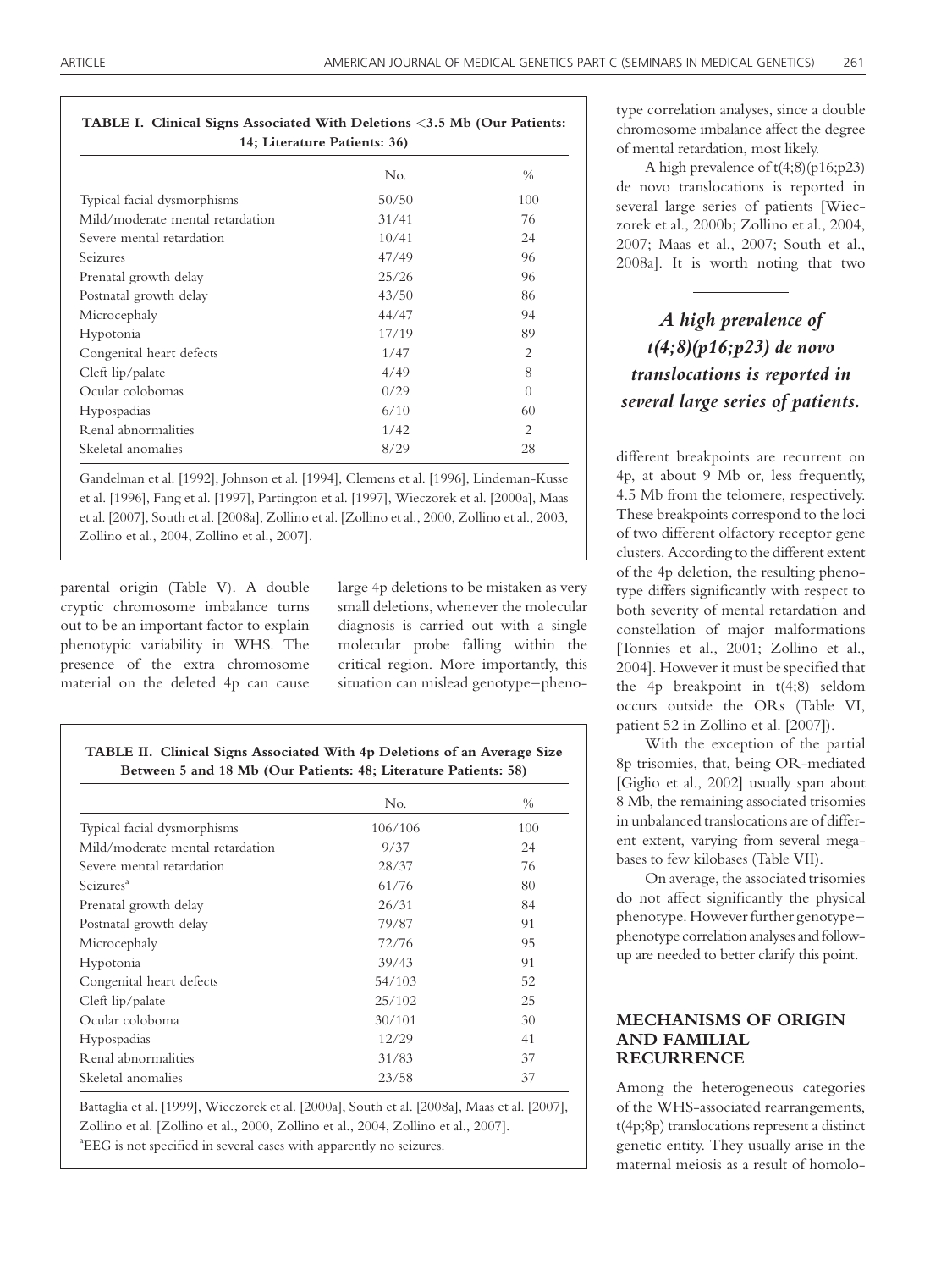| TABLE I. Clinical Signs Associated With Deletions <3.5 Mb (Our Patients:<br>14; Literature Patients: 36) |       |                |
|----------------------------------------------------------------------------------------------------------|-------|----------------|
|                                                                                                          | No.   | $\%$           |
| Typical facial dysmorphisms                                                                              | 50/50 | 100            |
| Mild/moderate mental retardation                                                                         | 31/41 | 76             |
| Severe mental retardation                                                                                | 10/41 | 24             |
| Seizures                                                                                                 | 47/49 | 96             |
| Prenatal growth delay                                                                                    | 25/26 | 96             |
| Postnatal growth delay                                                                                   | 43/50 | 86             |
| Microcephaly                                                                                             | 44/47 | 94             |
| Hypotonia                                                                                                | 17/19 | 89             |
| Congenital heart defects                                                                                 | 1/47  | 2              |
| Cleft lip/palate                                                                                         | 4/49  | 8              |
| Ocular colobomas                                                                                         | 0/29  | $\Omega$       |
| Hypospadias                                                                                              | 6/10  | 60             |
| Renal abnormalities                                                                                      | 1/42  | $\overline{c}$ |
| Skeletal anomalies                                                                                       | 8/29  | 28             |

Gandelman et al. [1992], Johnson et al. [1994], Clemens et al. [1996], Lindeman-Kusse et al. [1996], Fang et al. [1997], Partington et al. [1997], Wieczorek et al. [2000a], Maas et al. [2007], South et al. [2008a], Zollino et al. [Zollino et al., 2000, Zollino et al., 2003, Zollino et al., 2004, Zollino et al., 2007].

parental origin (Table V). A double cryptic chromosome imbalance turns out to be an important factor to explain phenotypic variability in WHS. The presence of the extra chromosome material on the deleted 4p can cause

large 4p deletions to be mistaken as very small deletions, whenever the molecular diagnosis is carried out with a single molecular probe falling within the critical region. More importantly, this situation can mislead genotype–pheno-

### TABLE II. Clinical Signs Associated With 4p Deletions of an Average Size Between 5 and 18 Mb (Our Patients: 48; Literature Patients: 58)

|                                  | No.     | $\frac{0}{0}$ |
|----------------------------------|---------|---------------|
| Typical facial dysmorphisms      | 106/106 | 100           |
| Mild/moderate mental retardation | 9/37    | 24            |
| Severe mental retardation        | 28/37   | 76            |
| Seizures <sup>a</sup>            | 61/76   | 80            |
| Prenatal growth delay            | 26/31   | 84            |
| Postnatal growth delay           | 79/87   | 91            |
| Microcephaly                     | 72/76   | 95            |
| Hypotonia                        | 39/43   | 91            |
| Congenital heart defects         | 54/103  | 52            |
| Cleft lip/palate                 | 25/102  | 25            |
| Ocular coloboma                  | 30/101  | 30            |
| <b>Hypospadias</b>               | 12/29   | 41            |
| Renal abnormalities              | 31/83   | 37            |
| Skeletal anomalies               | 23/58   | 37            |
|                                  |         |               |

Battaglia et al. [1999], Wieczorek et al. [2000a], South et al. [2008a], Maas et al. [2007], Zollino et al. [Zollino et al., 2000, Zollino et al., 2004, Zollino et al., 2007]. a EEG is not specified in several cases with apparently no seizures.

type correlation analyses, since a double chromosome imbalance affect the degree of mental retardation, most likely.

A high prevalence of t(4;8)(p16;p23) de novo translocations is reported in several large series of patients [Wieczorek et al., 2000b; Zollino et al., 2004, 2007; Maas et al., 2007; South et al., 2008a]. It is worth noting that two

A high prevalence of t(4;8)(p16;p23) de novo translocations is reported in several large series of patients.

different breakpoints are recurrent on 4p, at about 9 Mb or, less frequently, 4.5 Mb from the telomere, respectively. These breakpoints correspond to the loci of two different olfactory receptor gene clusters. According to the different extent of the 4p deletion, the resulting phenotype differs significantly with respect to both severity of mental retardation and constellation of major malformations [Tonnies et al., 2001; Zollino et al., 2004]. However it must be specified that the 4p breakpoint in t(4;8) seldom occurs outside the ORs (Table VI, patient 52 in Zollino et al. [2007]).

With the exception of the partial 8p trisomies, that, being OR-mediated [Giglio et al., 2002] usually span about 8 Mb, the remaining associated trisomies in unbalanced translocations are of different extent, varying from several megabases to few kilobases (Table VII).

On average, the associated trisomies do not affect significantly the physical phenotype. However further genotype– phenotype correlation analyses and followup are needed to better clarify this point.

### MECHANISMS OF ORIGIN AND FAMILIAL RECURRENCE

Among the heterogeneous categories of the WHS-associated rearrangements, t(4p;8p) translocations represent a distinct genetic entity. They usually arise in the maternal meiosis as a result of homolo-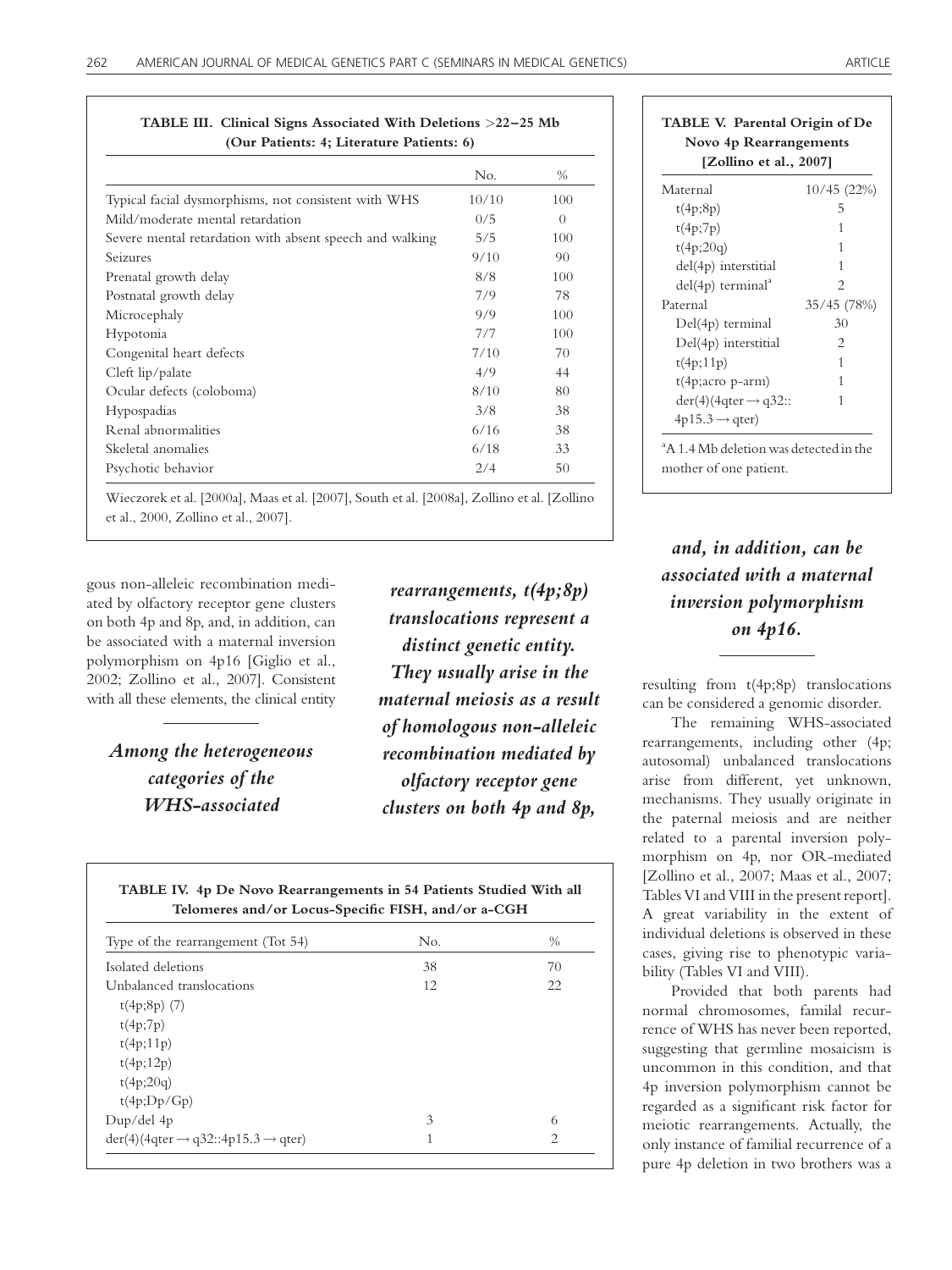| TABLE III. Clinical Signs Associated With Deletions >22-25 Mb |
|---------------------------------------------------------------|
| (Our Patients: 4; Literature Patients: 6)                     |

|                                                          | No.   | $\frac{0}{0}$ |
|----------------------------------------------------------|-------|---------------|
| Typical facial dysmorphisms, not consistent with WHS     | 10/10 | 100           |
| Mild/moderate mental retardation                         | 0/5   | $\Omega$      |
| Severe mental retardation with absent speech and walking | 5/5   | 100           |
| Seizures                                                 | 9/10  | 90            |
| Prenatal growth delay                                    | 8/8   | 100           |
| Postnatal growth delay                                   | 7/9   | 78            |
| Microcephaly                                             | 9/9   | 100           |
| Hypotonia                                                | 7/7   | 100           |
| Congenital heart defects                                 | 7/10  | 70            |
| Cleft lip/palate                                         | 4/9   | 44            |
| Ocular defects (coloboma)                                | 8/10  | 80            |
| <b>Hypospadias</b>                                       | 3/8   | 38            |
| Renal abnormalities                                      | 6/16  | 38            |
| Skeletal anomalies                                       | 6/18  | 33            |
| Psychotic behavior                                       | 2/4   | 50            |

Wieczorek et al. [2000a], Maas et al. [2007], South et al. [2008a], Zollino et al. [Zollino et al., 2000, Zollino et al., 2007].

gous non-alleleic recombination mediated by olfactory receptor gene clusters on both 4p and 8p, and, in addition, can be associated with a maternal inversion polymorphism on 4p16 [Giglio et al., 2002; Zollino et al., 2007]. Consistent with all these elements, the clinical entity

# Among the heterogeneous categories of the WHS-associated

rearrangements, t(4p;8p) translocations represent a distinct genetic entity. They usually arise in the maternal meiosis as a result of homologous non-alleleic recombination mediated by olfactory receptor gene clusters on both 4p and 8p,

| Type of the rearrangement (Tot 54)                            | No. | $\%$           |
|---------------------------------------------------------------|-----|----------------|
| Isolated deletions                                            | 38  | 70             |
| Unbalanced translocations                                     | 12  | 22             |
| $t(4p;8p)$ (7)                                                |     |                |
| t(4p;7p)                                                      |     |                |
| t(4p;11p)                                                     |     |                |
| t(4p;12p)                                                     |     |                |
| t(4p;20q)                                                     |     |                |
| t(4p;Dp/Gp)                                                   |     |                |
| Dup/del 4p                                                    | 3   | 6              |
| $der(4)$ (4qter $\rightarrow$ q32::4p15.3 $\rightarrow$ qter) |     | $\overline{2}$ |

| Maternal                            | 10/45 (22%)                 |
|-------------------------------------|-----------------------------|
| t(4p;8p)                            | 5                           |
| t(4p;7p)                            | $\mathbf{1}$                |
| t(4p;20q)                           | 1                           |
| del(4p) interstitial                | 1                           |
| del(4p) terminal <sup>a</sup>       | $\mathcal{D}_{\mathcal{L}}$ |
| Paternal                            | 35/45 (78%)                 |
| Del(4p) terminal                    | 30                          |
| Del(4p) interstitial                | 2                           |
| t(4p;11p)                           | $\mathbf{1}$                |
| $t(4p; \text{acro p-arm})$          | 1                           |
| $der(4)$ (4qter $\rightarrow$ q32:: | 1                           |
| $4p15.3 \rightarrow qter$           |                             |

# and, in addition, can be associated with a maternal inversion polymorphism on 4p16.

resulting from t(4p;8p) translocations can be considered a genomic disorder.

The remaining WHS-associated rearrangements, including other (4p; autosomal) unbalanced translocations arise from different, yet unknown, mechanisms. They usually originate in the paternal meiosis and are neither related to a parental inversion polymorphism on 4p, nor OR-mediated [Zollino et al., 2007; Maas et al., 2007; Tables VI and VIII in the present report]. A great variability in the extent of individual deletions is observed in these cases, giving rise to phenotypic variability (Tables VI and VIII).

Provided that both parents had normal chromosomes, familal recurrence of WHS has never been reported, suggesting that germline mosaicism is uncommon in this condition, and that 4p inversion polymorphism cannot be regarded as a significant risk factor for meiotic rearrangements. Actually, the only instance of familial recurrence of a pure 4p deletion in two brothers was a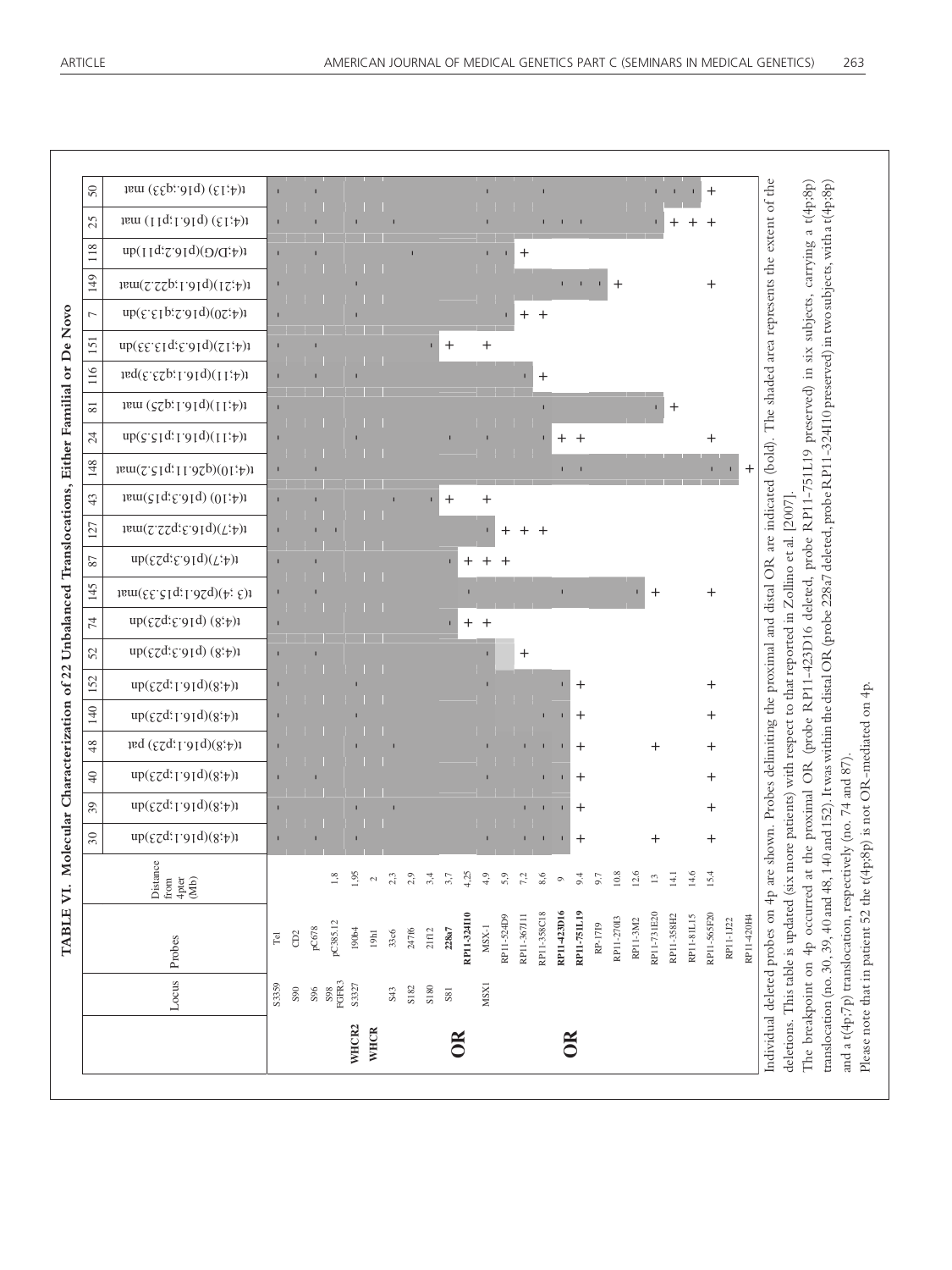|                          |                                                                                                                                                                                                                                                           |              |             |         |                                     | WHCR2 | WHCR              |                 |       |       | 6R         |              |           |            |             |                | $\rm \approx$ |              |          |            |          |             |              |            |                  |           |            |                                                                                                                        |
|--------------------------|-----------------------------------------------------------------------------------------------------------------------------------------------------------------------------------------------------------------------------------------------------------|--------------|-------------|---------|-------------------------------------|-------|-------------------|-----------------|-------|-------|------------|--------------|-----------|------------|-------------|----------------|---------------|--------------|----------|------------|----------|-------------|--------------|------------|------------------|-----------|------------|------------------------------------------------------------------------------------------------------------------------|
|                          | Locus                                                                                                                                                                                                                                                     | S3359        | ${\rm S}90$ | $S96$   | $$\frac{\text{S98}}{\text{FGFR3}}$$ | S3327 |                   | S <sub>43</sub> | S182  | S180  | <b>S81</b> |              | MSX1      |            |             |                |               |              |          |            |          |             |              |            |                  |           |            |                                                                                                                        |
|                          | Probes                                                                                                                                                                                                                                                    | Tel          | CD2         | $pc678$ | pC385.12                            | 19064 | $19\mbox{hl}$     | 33c6            | 247f6 | 21f12 | 228a7      | RP11-324I10  | $MSSX-1$  | RP11-524D9 | RP11-367J11 | RP11-358C18    | RP11-423D16   | RP11-751L19  | RP-1719  | RP11-270I3 | RP11-3M2 | RP11-731E20 | RP11-358H2   | RP11-81L15 | RP11-565F20      | RP11-1J22 | RP11-420H4 | Individual deleted probes on 4p are                                                                                    |
|                          | Distance<br>4 <sub>pter</sub><br>(Mb)<br>${\rm from}$                                                                                                                                                                                                     |              |             |         | 1,8                                 | 1,95  | $\mathcal{L}_{1}$ | 2,3             | $2,9$ | 3,4   | 3,7        | 4,25         | 4,9       | 5,9        | $7.2\,$     | 8,6            | $\circ$       | 9.4          | 9.7      | $10.8\,$   | 12.6     | $\Xi$       | 14.1         | 14.6       | 15.4             |           |            |                                                                                                                        |
| $30\,$                   | $\text{up}(\xi \zeta q; L \partial I q)(8; \mathfrak{h})$                                                                                                                                                                                                 | $\mathbf{I}$ |             |         |                                     |       |                   |                 |       |       |            |              |           |            | п           | $\blacksquare$ | п             | $\ddot{}$    |          |            |          | $\,{}^+$    |              |            | $\,{}^+$         |           |            | shown. Probes delimiting the proximal and distal OR are indicated (bold). The shaded area represents the extent of the |
| 39                       | $up(\xi Zq; L \partial Iq)(8; \mathfrak{h})$                                                                                                                                                                                                              |              |             |         |                                     |       |                   |                 |       |       |            |              |           |            |             |                | п             | $\ddot{}$    |          |            |          |             |              |            | $\boldsymbol{+}$ |           |            |                                                                                                                        |
| $\hbox{=}$               | $\text{up}(\xi \zeta q; L \partial I q)(8; \mathfrak{h})$                                                                                                                                                                                                 |              |             |         |                                     |       |                   |                 |       |       |            |              |           |            |             |                |               | $\ddot{}$    |          |            |          |             |              |            | $\boldsymbol{+}$ |           |            |                                                                                                                        |
| 48                       | $\text{ind } (\xi \zeta q; L \partial I q)(8; \mathfrak{h})$                                                                                                                                                                                              |              |             |         |                                     |       |                   |                 |       |       |            |              |           |            |             |                |               | $\ddot{}$    |          |            |          | $\hbox{ }$  |              |            | $\mathrm{+}$     |           |            |                                                                                                                        |
| 140                      | $\text{up}(\xi \zeta q; L \partial I q)(8; \mathfrak{h})$                                                                                                                                                                                                 |              |             |         |                                     |       |                   |                 |       |       |            |              |           |            |             |                |               | $\ddot{}$    |          |            |          |             |              |            | $\pm$            |           |            |                                                                                                                        |
| 152                      | $up(\xi Zq; L \partial Iq)(8; \mathfrak{h})$                                                                                                                                                                                                              |              |             |         |                                     |       |                   |                 |       |       |            |              |           |            |             |                |               | $\ddot{}$    |          |            |          |             |              |            | $\,{}^+$         |           |            |                                                                                                                        |
| 52                       | $up(\xi Zd; \xi \cdot g \cdot d)$ $(g; \psi)$                                                                                                                                                                                                             |              |             |         |                                     |       |                   |                 |       |       |            |              |           |            | $^{+}$      |                |               |              |          |            |          |             |              |            |                  |           |            |                                                                                                                        |
| $74$                     | $up(\xi Zd; \xi \cdot g \cdot Id)$ $(8; \gamma)$                                                                                                                                                                                                          |              |             |         |                                     |       |                   |                 |       |       |            | $+$ $+$      |           |            |             |                |               |              |          |            |          |             |              |            |                  |           |            |                                                                                                                        |
| 145                      | $\tan(\xi \xi, \xi \log(1.000))$                                                                                                                                                                                                                          |              |             |         |                                     |       |                   |                 |       |       |            |              |           |            |             |                | ı             |              |          |            |          | $^{+}$      |              |            | $\,{}^+$         |           |            |                                                                                                                        |
| $\sqrt{8}$               | $up(\xi Zd; \xi \cdot g \cdot Id)(\angle \cdot \psi)$                                                                                                                                                                                                     |              |             |         |                                     |       |                   |                 |       |       |            | $\mathrm{+}$ | $\ddot{}$ |            |             |                |               |              |          |            |          |             |              |            |                  |           |            |                                                                                                                        |
| 127                      | $\mathfrak{p}\mathfrak{w}(\mathfrak{r}\text{-}\mathfrak{r}\mathfrak{z}\text{-}\mathfrak{r}\mathfrak{z}\text{-}\mathfrak{r}\mathfrak{z})$                                                                                                                  |              |             |         |                                     |       |                   |                 |       |       |            |              |           | $\ddot{}$  | $\ddot{}$   | $^{+}$         |               |              |          |            |          |             |              |            |                  |           |            |                                                                                                                        |
| 43                       | $\tan(\xi \log(0.5.91q)(01.5))$                                                                                                                                                                                                                           |              |             |         |                                     |       |                   |                 |       |       | $\,^+$     |              | $\,^+$    |            |             |                |               |              |          |            |          |             |              |            |                  |           |            |                                                                                                                        |
| 148                      | $\mathfrak{h}(\mathcal{I},\mathcal{I})\in L^2(\mathcal{I},\mathcal{I},\mathcal{I})$                                                                                                                                                                       |              |             |         |                                     |       |                   |                 |       |       |            |              |           |            |             |                |               | $1 - 1$      |          |            |          |             |              |            | T.               |           | $\hbox{ }$ |                                                                                                                        |
| $24\,$                   | $\text{mp}(\zeta, \zeta, \zeta, \zeta, \zeta, \zeta, \zeta, \zeta)$                                                                                                                                                                                       |              |             |         |                                     |       |                   |                 |       |       |            |              |           |            |             |                | $+$ +         |              |          |            |          |             |              |            | $\,{}^+$         |           |            |                                                                                                                        |
| $\overline{\phantom{0}}$ | $\tan(2\Omega p;L\partial Iq)(H;\mathcal{V})$                                                                                                                                                                                                             |              |             |         |                                     |       |                   |                 |       |       |            |              |           |            |             |                |               |              |          |            |          |             | $^{+}$       |            |                  |           |            |                                                                                                                        |
| 116                      | $\text{trq}(\xi.\xi\Omega\beta;L.\partial\text{Iq})(L.L.\mathcal{P})$                                                                                                                                                                                     |              |             |         |                                     |       |                   |                 |       |       |            |              |           |            |             | $^{+}$         |               |              |          |            |          |             |              |            |                  |           |            |                                                                                                                        |
| 151                      | $\mathfrak{u} \mathfrak{p}(\mathfrak{E} \mathfrak{E} \mathfrak{k} \mathfrak{l} \mathfrak{q} \mathfrak{k} \mathfrak{k} \mathfrak{e} \mathfrak{p} \mathfrak{l} \mathfrak{q} \mathfrak{l}(\mathfrak{d} \mathfrak{l} \mathfrak{k} \mathfrak{l} \mathfrak{k})$ |              |             |         |                                     |       |                   |                 |       |       | $\,^+$     |              | $\,^+$    |            |             |                |               |              |          |            |          |             |              |            |                  |           |            |                                                                                                                        |
| $\overline{a}$           | $\text{nb}(\mathcal{E}.\mathcal{E}1\text{p};\mathcal{L}.\partial1\text{q})(0\mathcal{E};\mathcal{P})\text{1}$                                                                                                                                             |              |             |         |                                     |       |                   |                 |       |       |            |              |           |            | $+$ $+$     |                |               |              |          |            |          |             |              |            |                  |           |            |                                                                                                                        |
| 149                      | $\tanh(2.2\Omega p; 1.01q)(1\Omega; 4)$                                                                                                                                                                                                                   |              |             |         |                                     |       |                   |                 |       |       |            |              |           |            |             |                | т.            | $\mathbf{I}$ | $\Gamma$ | $^{+}$     |          |             |              |            |                  |           |            |                                                                                                                        |
| 118                      | $\text{up}(11q;2.01q)(D\backslash\text{C},\mu)$                                                                                                                                                                                                           |              |             |         |                                     |       |                   |                 |       |       |            |              |           |            | $^{+}$      |                |               |              |          |            |          |             |              |            |                  |           |            |                                                                                                                        |
| 25                       | $\textrm{ham}~(11q;1.\partial 1q)~(\textrm{E1};\mathfrak{p})$                                                                                                                                                                                             |              |             |         |                                     |       |                   |                 |       |       |            |              |           |            |             |                |               |              |          |            |          |             | $\mathrm{+}$ |            |                  |           |            |                                                                                                                        |
| $50\,$                   | $tan( \xi \xi p; \partial \xi q) (\xi l; \phi)$                                                                                                                                                                                                           |              |             |         |                                     |       |                   |                 |       |       |            |              |           |            |             |                |               |              |          |            |          |             |              |            | $\ddot{}$        |           |            |                                                                                                                        |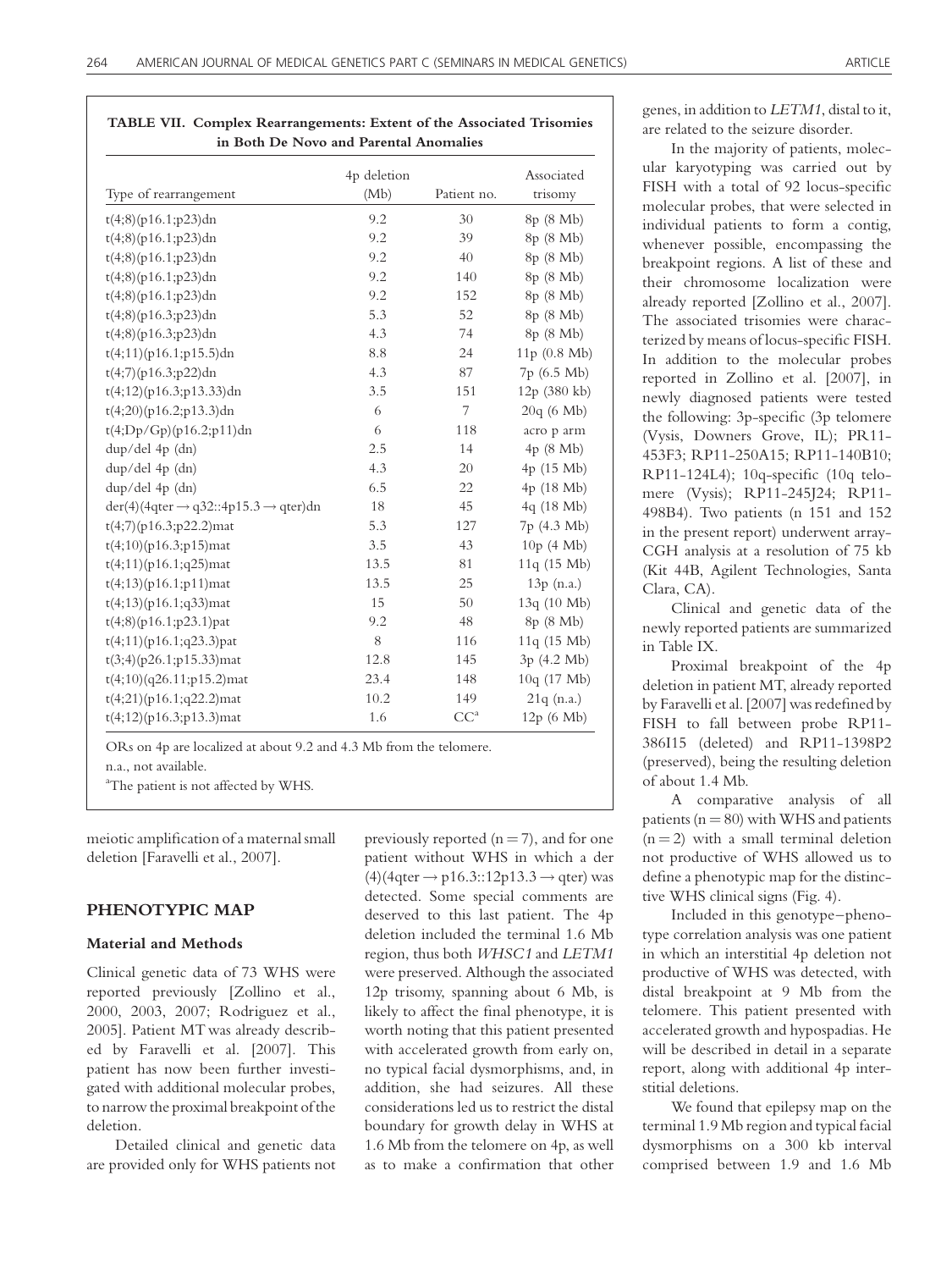### TABLE VII. Complex Rearrangements: Extent of the Associated Trisomies in Both De Novo and Parental Anomalies

| Type of rearrangement                                      | 4p deletion<br>(Mb) | Patient no. | Associated<br>trisomy |
|------------------------------------------------------------|---------------------|-------------|-----------------------|
|                                                            |                     |             |                       |
| t(4;8)(p16.1;p23)dn                                        | 9.2                 | 30          | 8p (8 Mb)             |
| t(4;8)(p16.1;p23)dn                                        | 9.2                 | 39          | 8p (8 Mb)             |
| t(4;8)(p16.1;p23)dn                                        | 9.2                 | 40          | 8p (8 Mb)             |
| t(4;8)(p16.1;p23)dn                                        | 9.2                 | 140         | 8p (8 Mb)             |
| t(4;8)(p16.1;p23)dn                                        | 9.2                 | 152         | 8p (8 Mb)             |
| t(4;8)(p16.3;p23)dn                                        | 5.3                 | 52          | 8p (8 Mb)             |
| t(4;8)(p16.3;p23)dn                                        | 4.3                 | 74          | 8p (8 Mb)             |
| t(4;11)(p16.1;p15.5)dn                                     | 8.8                 | 24          | 11p(0.8 Mb)           |
| t(4;7)(p16.3;p22)dn                                        | 4.3                 | 87          | 7p (6.5 Mb)           |
| t(4;12)(p16.3;p13.33)dn                                    | 3.5                 | 151         | 12p (380 kb)          |
| t(4;20)(p16.2;p13.3)dn                                     | 6                   | 7           | 20q(6Mb)              |
| t(4;Dp/Gp)(p16.2;p11)dn                                    | 6                   | 118         | acro p arm            |
| dup/del 4p (dn)                                            | 2.5                 | 14          | 4p (8 Mb)             |
| dup/del 4p (dn)                                            | 4.3                 | 20          | 4p (15 Mb)            |
| dup/del 4p (dn)                                            | 6.5                 | 22          | 4p (18 Mb)            |
| $der(4)(4qter \rightarrow q32::4p15.3 \rightarrow qter)dn$ | 18                  | 45          | 4q (18 Mb)            |
| t(4;7)(p16.3;p22.2)mat                                     | 5.3                 | 127         | 7p (4.3 Mb)           |
| $t(4;10)(p16.3;p15)$ mat                                   | 3.5                 | 43          | 10p(4Mb)              |
| $t(4;11)(p16.1;q25)$ mat                                   | 13.5                | 81          | 11q (15 Mb)           |
| $t(4;13)(p16.1;p11)$ mat                                   | 13.5                | 25          | 13p (n.a.)            |
| $t(4;13)(p16.1;q33)$ mat                                   | 15                  | 50          | 13q (10 Mb)           |
| $t(4;8)(p16.1;p23.1)$ pat                                  | 9.2                 | 48          | 8p (8 Mb)             |
| t(4;11)(p16.1;q23.3)pat                                    | 8                   | 116         | 11q (15 Mb)           |
| $t(3,4)(p26.1;p15.33)$ mat                                 | 12.8                | 145         | 3p (4.2 Mb)           |
| t(4;10)(q26.11;p15.2)mat                                   | 23.4                | 148         | 10q(17 Mb)            |
| $t(4;21)(p16.1;q22.2)$ mat                                 | 10.2                | 149         | $21q$ (n.a.)          |
| $t(4;12)(p16.3;p13.3)$ mat                                 | 1.6                 | $CC^a$      | 12p (6 Mb)            |

ORs on 4p are localized at about 9.2 and 4.3 Mb from the telomere.

n.a., not available.

<sup>a</sup>The patient is not affected by WHS.

meiotic amplification of a maternal small deletion [Faravelli et al., 2007].

### PHENOTYPIC MAP

### Material and Methods

Clinical genetic data of 73 WHS were reported previously [Zollino et al., 2000, 2003, 2007; Rodriguez et al., 2005]. Patient MT was already described by Faravelli et al. [2007]. This patient has now been further investigated with additional molecular probes, to narrow the proximal breakpoint of the deletion.

Detailed clinical and genetic data are provided only for WHS patients not previously reported  $(n = 7)$ , and for one patient without WHS in which a der  $(4)(4qter \rightarrow p16.3::12p13.3 \rightarrow qter)$  was detected. Some special comments are deserved to this last patient. The 4p deletion included the terminal 1.6 Mb region, thus both WHSC1 and LETM1 were preserved. Although the associated 12p trisomy, spanning about 6 Mb, is likely to affect the final phenotype, it is worth noting that this patient presented with accelerated growth from early on, no typical facial dysmorphisms, and, in addition, she had seizures. All these considerations led us to restrict the distal boundary for growth delay in WHS at 1.6 Mb from the telomere on 4p, as well as to make a confirmation that other genes, in addition to LETM1, distal to it, are related to the seizure disorder.

In the majority of patients, molecular karyotyping was carried out by FISH with a total of 92 locus-specific molecular probes, that were selected in individual patients to form a contig, whenever possible, encompassing the breakpoint regions. A list of these and their chromosome localization were already reported [Zollino et al., 2007]. The associated trisomies were characterized by means of locus-specific FISH. In addition to the molecular probes reported in Zollino et al. [2007], in newly diagnosed patients were tested the following: 3p-specific (3p telomere (Vysis, Downers Grove, IL); PR11- 453F3; RP11-250A15; RP11-140B10; RP11-124L4); 10q-specific (10q telomere (Vysis); RP11-245J24; RP11- 498B4). Two patients (n 151 and 152 in the present report) underwent array-CGH analysis at a resolution of 75 kb (Kit 44B, Agilent Technologies, Santa Clara, CA).

Clinical and genetic data of the newly reported patients are summarized in Table IX.

Proximal breakpoint of the 4p deletion in patient MT, already reported by Faravelli et al. [2007] was redefined by FISH to fall between probe RP11- 386I15 (deleted) and RP11-1398P2 (preserved), being the resulting deletion of about 1.4 Mb.

A comparative analysis of all patients ( $n = 80$ ) with WHS and patients  $(n = 2)$  with a small terminal deletion not productive of WHS allowed us to define a phenotypic map for the distinctive WHS clinical signs (Fig. 4).

Included in this genotype–phenotype correlation analysis was one patient in which an interstitial 4p deletion not productive of WHS was detected, with distal breakpoint at 9 Mb from the telomere. This patient presented with accelerated growth and hypospadias. He will be described in detail in a separate report, along with additional 4p interstitial deletions.

We found that epilepsy map on the terminal 1.9 Mb region and typical facial dysmorphisms on a 300 kb interval comprised between 1.9 and 1.6 Mb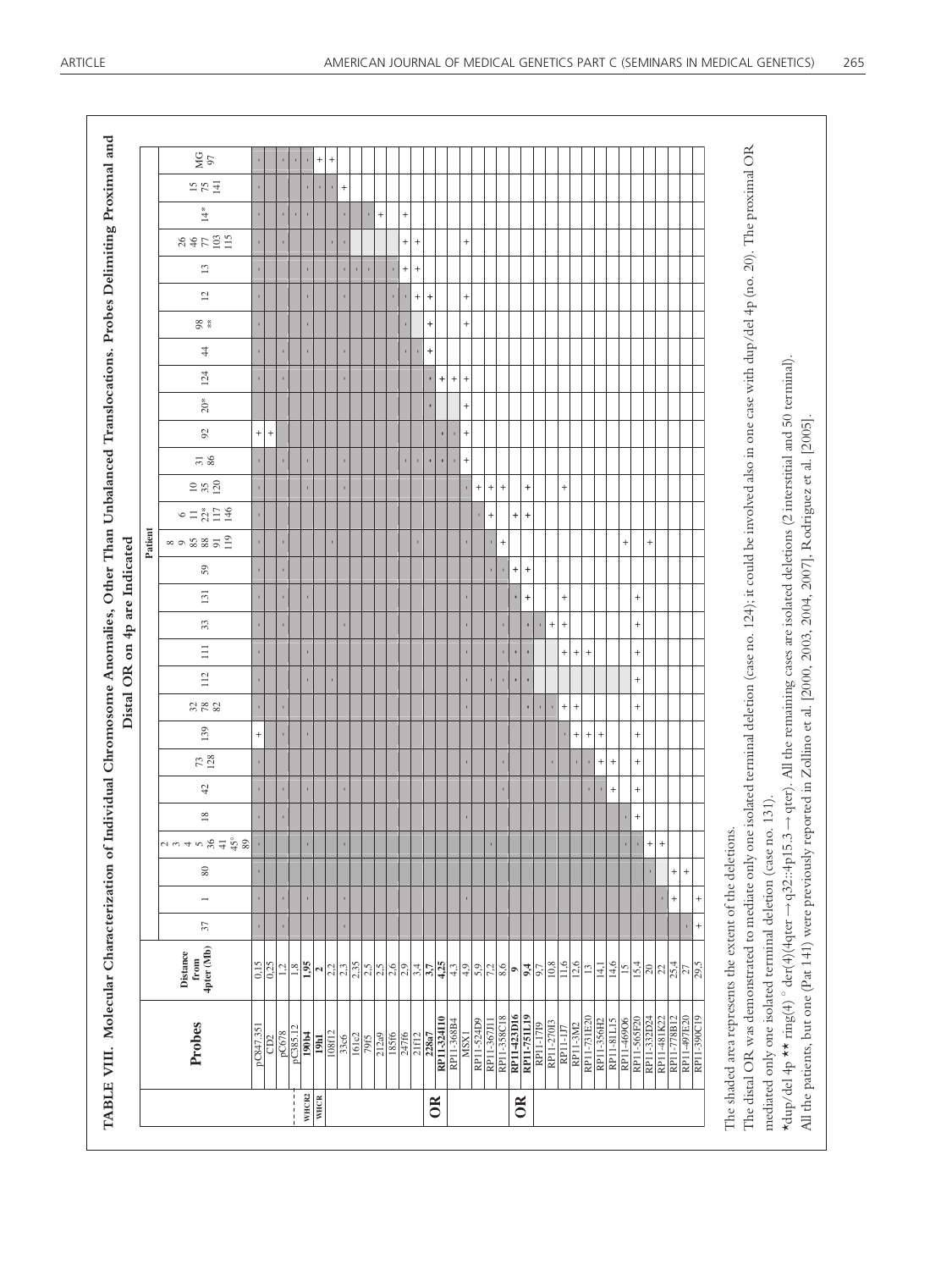| The distal OR was demonstrated to mediate only one isolated terminal deletion (case no. 124); it could be involved also in one case with dup/del 4p (no. 20). The proximal OR<br>$^{+}$<br>×<br>$\frac{15}{75}$<br>¥,<br>$^{+}$<br>$\mathbf{r}$<br>T.<br>$\stackrel{*}{\pm}$<br>$\bar{1}$<br>$^{+}$<br>×,<br>×,<br>$\! +$<br>84F31<br>¥,<br>$\! + \!\!\!\!$<br>$^{+}$<br>$^{+}$<br>$\mathbf{r}$<br>¥,<br>13<br>$^{+}$<br>$^{+}$<br>$\mathbf{r}$<br>$\mathbf{r}$<br>$\overline{12}$<br>r.<br>$\! + \!\!\!\!$<br>$\begin{array}{c} + \end{array}$<br>$^{+}$<br>$98 *$<br>$\! + \!$<br>$\! + \!$<br>×<br>٠<br>$\ddot{}$<br>$\frac{4}{3}$<br>î,<br>r.<br>$\mathbf{I}$<br>$\rightarrow$ qter). All the remaining cases are isolated deletions (2 interstitial and 50 terminal).<br>124<br>$^{+}$<br>í.<br>$\ddot{}$<br>$^{+}$<br>×,<br>$\mathbf{r}$<br>$20\,^*$<br>$^{+}$<br>٠<br>All the patients, but one (Pat 141) were previously reported in Zollino et al. [2000, 2003, 2004, 2007], Rodriguez et al. [2005]<br>$60^{\circ}$<br>$\qquad \qquad +$<br>$^+$<br>$^{+}$<br>r.<br>$\frac{38}{6}$<br>í.<br>$\ddot{}$<br>¥,<br>×,<br>f,<br>$\mathbf{r}$<br>×.<br>$\frac{10}{3}$<br>$\! + \!\!\!\!$<br>$\! + \!\!\!\!$<br>$\! + \!$<br>$\mathbf{r}$<br>+<br>$\begin{array}{c} + \end{array}$<br>$6 = 247$<br>$245$<br>$146$<br>$\ddot{}$<br>÷<br>$\mathbf{r}$<br>$^{+}$<br>$^{+}$<br>$^{+}$<br>×,<br>$\mathbf{r}$<br>h,<br>÷<br>59<br>×,<br>$\mathbf{r}$<br>Ŷ.<br>$\ddot{}$<br>$\ddot{}$<br>131<br>$\ddot{}$<br>$^{+}$<br>$^{+}$<br>×,<br>$\mathbf{r}$<br>$33$<br>$^{+}$<br>$\ddot{}$<br>×.<br>$^{+}$<br>$\mathbf{I}$<br>$\mathbf{I}$<br>$\Xi$<br>$^{+}$<br>$^{+}$<br>$\ddot{}$<br>r,<br>$^{+}$<br>Ŷ.<br>٠<br>112<br>$^{+}$<br>$\mathbf{r}$<br>$\mathbf{r}$<br>×,<br>$3280$<br>$^{+}$<br>$^{+}$<br>î,<br>r.<br>×,<br>$^{+}$<br>$\mathbf{r}$<br>139<br>$\qquad \qquad +$<br>$^{+}$<br>$\ddot{}$<br>$+$<br>$^{+}$<br>$\mathbf{r}$<br>$73$<br>128<br>$^{+}$<br>$^{+}$<br>$^{+}$<br>$\mathbf{r}$<br>¥.<br>r.<br>$\mathbf{r}$<br>$42$<br>r.<br>$^{+}$<br>$\ddot{}$<br>×,<br>$\mathbf{r}$<br>¥.<br>mediated only one isolated terminal deletion (case no. 131)<br>$18$<br>$^{+}$<br>×,<br>$\mathbf{r}$<br>The shaded area represents the extent of the deletions<br>$\star \mathrm{dup}/\mathrm{del} \; 4p \star \star \mathrm{ring}(4) \, {}^{\circ} \; \mathrm{der}(4) (4 \mathrm{qter} \longrightarrow \mathrm{q32::} 4p15.3$<br>4.99448<br>$\! + \!$<br>$^{+}$<br>î,<br>r.<br>$\mathbf{r}$<br>×.<br>ï<br>$80\,$<br>$^{+}$<br>$^{+}$<br>ï<br>$\ddot{}$<br>$\mathbf{I}$<br>$\mathfrak{Z}$<br>4pter (Mb)<br>Distance<br>from<br>11,6<br>$\frac{12}{18}$<br>$\frac{2,3}{2,35}$<br>$\frac{3}{4}$ $\frac{1}{2}$ $\frac{1}{2}$<br>12,6<br>14,6<br>0,15<br>0,25<br>$\frac{25}{25}$<br>10,8<br>15,4<br>$rac{49}{5}$<br>9,4<br>25,4<br>$\frac{27}{29,5}$<br>$\frac{2.2}{ }$<br>4.3<br>$\frac{726}{86}$<br>$\overline{9.7}$<br> 4,1<br>$\overline{15}$<br>$\mathbf{r}$<br> 3 2<br>2<br>$\bullet$<br>RP11-423D16<br>RP11-751L19<br>RP11-565F20<br>RP11-778B12<br>RP11-497E20<br>RP11-358C18<br>RP11-731E20<br>RP11-332D24<br>RP11-481K22<br>RP11-390C19<br>RP11-324I10<br>RP11-469O6<br>RP11-356H2<br>RP11-81L15<br>RP11-524D9<br>RP11-368B4<br>RP11-367J11<br>RP11-270I3<br>Probes<br>RP11-1779<br>RP11-3M2<br>RP11-1J7<br>pC385.12<br>pC847.35<br>pC678<br>108f12<br>19014<br>161c2<br>212a9<br>MSX1<br>185f6<br>247f6<br>21f12<br>228a7<br>33c6<br>19h1<br>79f5<br>CD2<br>WHCR2<br>WHCR<br>$\approx$<br>$\frac{1}{2}$ |  |  |  |  |  |  |  | Patient |  |  |  |  |  |  |                 |
|-----------------------------------------------------------------------------------------------------------------------------------------------------------------------------------------------------------------------------------------------------------------------------------------------------------------------------------------------------------------------------------------------------------------------------------------------------------------------------------------------------------------------------------------------------------------------------------------------------------------------------------------------------------------------------------------------------------------------------------------------------------------------------------------------------------------------------------------------------------------------------------------------------------------------------------------------------------------------------------------------------------------------------------------------------------------------------------------------------------------------------------------------------------------------------------------------------------------------------------------------------------------------------------------------------------------------------------------------------------------------------------------------------------------------------------------------------------------------------------------------------------------------------------------------------------------------------------------------------------------------------------------------------------------------------------------------------------------------------------------------------------------------------------------------------------------------------------------------------------------------------------------------------------------------------------------------------------------------------------------------------------------------------------------------------------------------------------------------------------------------------------------------------------------------------------------------------------------------------------------------------------------------------------------------------------------------------------------------------------------------------------------------------------------------------------------------------------------------------------------------------------------------------------------------------------------------------------------------------------------------------------------------------------------------------------------------------------------------------------------------------------------------------------------------------------------------------------------------------------------------------------------------------------------------------------------------------------------------------------------------------------------------------------------------------------------------------------------------------------------------------------------------------------------------------------------------------------------------------------------------------------------------------------------------------------------------------------------------------------------------------------------------------------------------------------------------------------------------------------------------------|--|--|--|--|--|--|--|---------|--|--|--|--|--|--|-----------------|
|                                                                                                                                                                                                                                                                                                                                                                                                                                                                                                                                                                                                                                                                                                                                                                                                                                                                                                                                                                                                                                                                                                                                                                                                                                                                                                                                                                                                                                                                                                                                                                                                                                                                                                                                                                                                                                                                                                                                                                                                                                                                                                                                                                                                                                                                                                                                                                                                                                                                                                                                                                                                                                                                                                                                                                                                                                                                                                                                                                                                                                                                                                                                                                                                                                                                                                                                                                                                                                                                                                     |  |  |  |  |  |  |  |         |  |  |  |  |  |  | $\frac{16}{2M}$ |
|                                                                                                                                                                                                                                                                                                                                                                                                                                                                                                                                                                                                                                                                                                                                                                                                                                                                                                                                                                                                                                                                                                                                                                                                                                                                                                                                                                                                                                                                                                                                                                                                                                                                                                                                                                                                                                                                                                                                                                                                                                                                                                                                                                                                                                                                                                                                                                                                                                                                                                                                                                                                                                                                                                                                                                                                                                                                                                                                                                                                                                                                                                                                                                                                                                                                                                                                                                                                                                                                                                     |  |  |  |  |  |  |  |         |  |  |  |  |  |  |                 |
|                                                                                                                                                                                                                                                                                                                                                                                                                                                                                                                                                                                                                                                                                                                                                                                                                                                                                                                                                                                                                                                                                                                                                                                                                                                                                                                                                                                                                                                                                                                                                                                                                                                                                                                                                                                                                                                                                                                                                                                                                                                                                                                                                                                                                                                                                                                                                                                                                                                                                                                                                                                                                                                                                                                                                                                                                                                                                                                                                                                                                                                                                                                                                                                                                                                                                                                                                                                                                                                                                                     |  |  |  |  |  |  |  |         |  |  |  |  |  |  |                 |
|                                                                                                                                                                                                                                                                                                                                                                                                                                                                                                                                                                                                                                                                                                                                                                                                                                                                                                                                                                                                                                                                                                                                                                                                                                                                                                                                                                                                                                                                                                                                                                                                                                                                                                                                                                                                                                                                                                                                                                                                                                                                                                                                                                                                                                                                                                                                                                                                                                                                                                                                                                                                                                                                                                                                                                                                                                                                                                                                                                                                                                                                                                                                                                                                                                                                                                                                                                                                                                                                                                     |  |  |  |  |  |  |  |         |  |  |  |  |  |  | $\mathbf{r}$    |
|                                                                                                                                                                                                                                                                                                                                                                                                                                                                                                                                                                                                                                                                                                                                                                                                                                                                                                                                                                                                                                                                                                                                                                                                                                                                                                                                                                                                                                                                                                                                                                                                                                                                                                                                                                                                                                                                                                                                                                                                                                                                                                                                                                                                                                                                                                                                                                                                                                                                                                                                                                                                                                                                                                                                                                                                                                                                                                                                                                                                                                                                                                                                                                                                                                                                                                                                                                                                                                                                                                     |  |  |  |  |  |  |  |         |  |  |  |  |  |  |                 |
|                                                                                                                                                                                                                                                                                                                                                                                                                                                                                                                                                                                                                                                                                                                                                                                                                                                                                                                                                                                                                                                                                                                                                                                                                                                                                                                                                                                                                                                                                                                                                                                                                                                                                                                                                                                                                                                                                                                                                                                                                                                                                                                                                                                                                                                                                                                                                                                                                                                                                                                                                                                                                                                                                                                                                                                                                                                                                                                                                                                                                                                                                                                                                                                                                                                                                                                                                                                                                                                                                                     |  |  |  |  |  |  |  |         |  |  |  |  |  |  | $\mathbf{r}$    |
|                                                                                                                                                                                                                                                                                                                                                                                                                                                                                                                                                                                                                                                                                                                                                                                                                                                                                                                                                                                                                                                                                                                                                                                                                                                                                                                                                                                                                                                                                                                                                                                                                                                                                                                                                                                                                                                                                                                                                                                                                                                                                                                                                                                                                                                                                                                                                                                                                                                                                                                                                                                                                                                                                                                                                                                                                                                                                                                                                                                                                                                                                                                                                                                                                                                                                                                                                                                                                                                                                                     |  |  |  |  |  |  |  |         |  |  |  |  |  |  | $^{+}$          |
|                                                                                                                                                                                                                                                                                                                                                                                                                                                                                                                                                                                                                                                                                                                                                                                                                                                                                                                                                                                                                                                                                                                                                                                                                                                                                                                                                                                                                                                                                                                                                                                                                                                                                                                                                                                                                                                                                                                                                                                                                                                                                                                                                                                                                                                                                                                                                                                                                                                                                                                                                                                                                                                                                                                                                                                                                                                                                                                                                                                                                                                                                                                                                                                                                                                                                                                                                                                                                                                                                                     |  |  |  |  |  |  |  |         |  |  |  |  |  |  |                 |
|                                                                                                                                                                                                                                                                                                                                                                                                                                                                                                                                                                                                                                                                                                                                                                                                                                                                                                                                                                                                                                                                                                                                                                                                                                                                                                                                                                                                                                                                                                                                                                                                                                                                                                                                                                                                                                                                                                                                                                                                                                                                                                                                                                                                                                                                                                                                                                                                                                                                                                                                                                                                                                                                                                                                                                                                                                                                                                                                                                                                                                                                                                                                                                                                                                                                                                                                                                                                                                                                                                     |  |  |  |  |  |  |  |         |  |  |  |  |  |  |                 |
|                                                                                                                                                                                                                                                                                                                                                                                                                                                                                                                                                                                                                                                                                                                                                                                                                                                                                                                                                                                                                                                                                                                                                                                                                                                                                                                                                                                                                                                                                                                                                                                                                                                                                                                                                                                                                                                                                                                                                                                                                                                                                                                                                                                                                                                                                                                                                                                                                                                                                                                                                                                                                                                                                                                                                                                                                                                                                                                                                                                                                                                                                                                                                                                                                                                                                                                                                                                                                                                                                                     |  |  |  |  |  |  |  |         |  |  |  |  |  |  |                 |
|                                                                                                                                                                                                                                                                                                                                                                                                                                                                                                                                                                                                                                                                                                                                                                                                                                                                                                                                                                                                                                                                                                                                                                                                                                                                                                                                                                                                                                                                                                                                                                                                                                                                                                                                                                                                                                                                                                                                                                                                                                                                                                                                                                                                                                                                                                                                                                                                                                                                                                                                                                                                                                                                                                                                                                                                                                                                                                                                                                                                                                                                                                                                                                                                                                                                                                                                                                                                                                                                                                     |  |  |  |  |  |  |  |         |  |  |  |  |  |  |                 |
|                                                                                                                                                                                                                                                                                                                                                                                                                                                                                                                                                                                                                                                                                                                                                                                                                                                                                                                                                                                                                                                                                                                                                                                                                                                                                                                                                                                                                                                                                                                                                                                                                                                                                                                                                                                                                                                                                                                                                                                                                                                                                                                                                                                                                                                                                                                                                                                                                                                                                                                                                                                                                                                                                                                                                                                                                                                                                                                                                                                                                                                                                                                                                                                                                                                                                                                                                                                                                                                                                                     |  |  |  |  |  |  |  |         |  |  |  |  |  |  |                 |
|                                                                                                                                                                                                                                                                                                                                                                                                                                                                                                                                                                                                                                                                                                                                                                                                                                                                                                                                                                                                                                                                                                                                                                                                                                                                                                                                                                                                                                                                                                                                                                                                                                                                                                                                                                                                                                                                                                                                                                                                                                                                                                                                                                                                                                                                                                                                                                                                                                                                                                                                                                                                                                                                                                                                                                                                                                                                                                                                                                                                                                                                                                                                                                                                                                                                                                                                                                                                                                                                                                     |  |  |  |  |  |  |  |         |  |  |  |  |  |  |                 |
|                                                                                                                                                                                                                                                                                                                                                                                                                                                                                                                                                                                                                                                                                                                                                                                                                                                                                                                                                                                                                                                                                                                                                                                                                                                                                                                                                                                                                                                                                                                                                                                                                                                                                                                                                                                                                                                                                                                                                                                                                                                                                                                                                                                                                                                                                                                                                                                                                                                                                                                                                                                                                                                                                                                                                                                                                                                                                                                                                                                                                                                                                                                                                                                                                                                                                                                                                                                                                                                                                                     |  |  |  |  |  |  |  |         |  |  |  |  |  |  |                 |
|                                                                                                                                                                                                                                                                                                                                                                                                                                                                                                                                                                                                                                                                                                                                                                                                                                                                                                                                                                                                                                                                                                                                                                                                                                                                                                                                                                                                                                                                                                                                                                                                                                                                                                                                                                                                                                                                                                                                                                                                                                                                                                                                                                                                                                                                                                                                                                                                                                                                                                                                                                                                                                                                                                                                                                                                                                                                                                                                                                                                                                                                                                                                                                                                                                                                                                                                                                                                                                                                                                     |  |  |  |  |  |  |  |         |  |  |  |  |  |  |                 |
|                                                                                                                                                                                                                                                                                                                                                                                                                                                                                                                                                                                                                                                                                                                                                                                                                                                                                                                                                                                                                                                                                                                                                                                                                                                                                                                                                                                                                                                                                                                                                                                                                                                                                                                                                                                                                                                                                                                                                                                                                                                                                                                                                                                                                                                                                                                                                                                                                                                                                                                                                                                                                                                                                                                                                                                                                                                                                                                                                                                                                                                                                                                                                                                                                                                                                                                                                                                                                                                                                                     |  |  |  |  |  |  |  |         |  |  |  |  |  |  |                 |
|                                                                                                                                                                                                                                                                                                                                                                                                                                                                                                                                                                                                                                                                                                                                                                                                                                                                                                                                                                                                                                                                                                                                                                                                                                                                                                                                                                                                                                                                                                                                                                                                                                                                                                                                                                                                                                                                                                                                                                                                                                                                                                                                                                                                                                                                                                                                                                                                                                                                                                                                                                                                                                                                                                                                                                                                                                                                                                                                                                                                                                                                                                                                                                                                                                                                                                                                                                                                                                                                                                     |  |  |  |  |  |  |  |         |  |  |  |  |  |  |                 |
|                                                                                                                                                                                                                                                                                                                                                                                                                                                                                                                                                                                                                                                                                                                                                                                                                                                                                                                                                                                                                                                                                                                                                                                                                                                                                                                                                                                                                                                                                                                                                                                                                                                                                                                                                                                                                                                                                                                                                                                                                                                                                                                                                                                                                                                                                                                                                                                                                                                                                                                                                                                                                                                                                                                                                                                                                                                                                                                                                                                                                                                                                                                                                                                                                                                                                                                                                                                                                                                                                                     |  |  |  |  |  |  |  |         |  |  |  |  |  |  |                 |
|                                                                                                                                                                                                                                                                                                                                                                                                                                                                                                                                                                                                                                                                                                                                                                                                                                                                                                                                                                                                                                                                                                                                                                                                                                                                                                                                                                                                                                                                                                                                                                                                                                                                                                                                                                                                                                                                                                                                                                                                                                                                                                                                                                                                                                                                                                                                                                                                                                                                                                                                                                                                                                                                                                                                                                                                                                                                                                                                                                                                                                                                                                                                                                                                                                                                                                                                                                                                                                                                                                     |  |  |  |  |  |  |  |         |  |  |  |  |  |  |                 |
|                                                                                                                                                                                                                                                                                                                                                                                                                                                                                                                                                                                                                                                                                                                                                                                                                                                                                                                                                                                                                                                                                                                                                                                                                                                                                                                                                                                                                                                                                                                                                                                                                                                                                                                                                                                                                                                                                                                                                                                                                                                                                                                                                                                                                                                                                                                                                                                                                                                                                                                                                                                                                                                                                                                                                                                                                                                                                                                                                                                                                                                                                                                                                                                                                                                                                                                                                                                                                                                                                                     |  |  |  |  |  |  |  |         |  |  |  |  |  |  |                 |
|                                                                                                                                                                                                                                                                                                                                                                                                                                                                                                                                                                                                                                                                                                                                                                                                                                                                                                                                                                                                                                                                                                                                                                                                                                                                                                                                                                                                                                                                                                                                                                                                                                                                                                                                                                                                                                                                                                                                                                                                                                                                                                                                                                                                                                                                                                                                                                                                                                                                                                                                                                                                                                                                                                                                                                                                                                                                                                                                                                                                                                                                                                                                                                                                                                                                                                                                                                                                                                                                                                     |  |  |  |  |  |  |  |         |  |  |  |  |  |  |                 |
|                                                                                                                                                                                                                                                                                                                                                                                                                                                                                                                                                                                                                                                                                                                                                                                                                                                                                                                                                                                                                                                                                                                                                                                                                                                                                                                                                                                                                                                                                                                                                                                                                                                                                                                                                                                                                                                                                                                                                                                                                                                                                                                                                                                                                                                                                                                                                                                                                                                                                                                                                                                                                                                                                                                                                                                                                                                                                                                                                                                                                                                                                                                                                                                                                                                                                                                                                                                                                                                                                                     |  |  |  |  |  |  |  |         |  |  |  |  |  |  |                 |
|                                                                                                                                                                                                                                                                                                                                                                                                                                                                                                                                                                                                                                                                                                                                                                                                                                                                                                                                                                                                                                                                                                                                                                                                                                                                                                                                                                                                                                                                                                                                                                                                                                                                                                                                                                                                                                                                                                                                                                                                                                                                                                                                                                                                                                                                                                                                                                                                                                                                                                                                                                                                                                                                                                                                                                                                                                                                                                                                                                                                                                                                                                                                                                                                                                                                                                                                                                                                                                                                                                     |  |  |  |  |  |  |  |         |  |  |  |  |  |  |                 |
|                                                                                                                                                                                                                                                                                                                                                                                                                                                                                                                                                                                                                                                                                                                                                                                                                                                                                                                                                                                                                                                                                                                                                                                                                                                                                                                                                                                                                                                                                                                                                                                                                                                                                                                                                                                                                                                                                                                                                                                                                                                                                                                                                                                                                                                                                                                                                                                                                                                                                                                                                                                                                                                                                                                                                                                                                                                                                                                                                                                                                                                                                                                                                                                                                                                                                                                                                                                                                                                                                                     |  |  |  |  |  |  |  |         |  |  |  |  |  |  |                 |
|                                                                                                                                                                                                                                                                                                                                                                                                                                                                                                                                                                                                                                                                                                                                                                                                                                                                                                                                                                                                                                                                                                                                                                                                                                                                                                                                                                                                                                                                                                                                                                                                                                                                                                                                                                                                                                                                                                                                                                                                                                                                                                                                                                                                                                                                                                                                                                                                                                                                                                                                                                                                                                                                                                                                                                                                                                                                                                                                                                                                                                                                                                                                                                                                                                                                                                                                                                                                                                                                                                     |  |  |  |  |  |  |  |         |  |  |  |  |  |  |                 |
|                                                                                                                                                                                                                                                                                                                                                                                                                                                                                                                                                                                                                                                                                                                                                                                                                                                                                                                                                                                                                                                                                                                                                                                                                                                                                                                                                                                                                                                                                                                                                                                                                                                                                                                                                                                                                                                                                                                                                                                                                                                                                                                                                                                                                                                                                                                                                                                                                                                                                                                                                                                                                                                                                                                                                                                                                                                                                                                                                                                                                                                                                                                                                                                                                                                                                                                                                                                                                                                                                                     |  |  |  |  |  |  |  |         |  |  |  |  |  |  |                 |
|                                                                                                                                                                                                                                                                                                                                                                                                                                                                                                                                                                                                                                                                                                                                                                                                                                                                                                                                                                                                                                                                                                                                                                                                                                                                                                                                                                                                                                                                                                                                                                                                                                                                                                                                                                                                                                                                                                                                                                                                                                                                                                                                                                                                                                                                                                                                                                                                                                                                                                                                                                                                                                                                                                                                                                                                                                                                                                                                                                                                                                                                                                                                                                                                                                                                                                                                                                                                                                                                                                     |  |  |  |  |  |  |  |         |  |  |  |  |  |  |                 |
|                                                                                                                                                                                                                                                                                                                                                                                                                                                                                                                                                                                                                                                                                                                                                                                                                                                                                                                                                                                                                                                                                                                                                                                                                                                                                                                                                                                                                                                                                                                                                                                                                                                                                                                                                                                                                                                                                                                                                                                                                                                                                                                                                                                                                                                                                                                                                                                                                                                                                                                                                                                                                                                                                                                                                                                                                                                                                                                                                                                                                                                                                                                                                                                                                                                                                                                                                                                                                                                                                                     |  |  |  |  |  |  |  |         |  |  |  |  |  |  |                 |
|                                                                                                                                                                                                                                                                                                                                                                                                                                                                                                                                                                                                                                                                                                                                                                                                                                                                                                                                                                                                                                                                                                                                                                                                                                                                                                                                                                                                                                                                                                                                                                                                                                                                                                                                                                                                                                                                                                                                                                                                                                                                                                                                                                                                                                                                                                                                                                                                                                                                                                                                                                                                                                                                                                                                                                                                                                                                                                                                                                                                                                                                                                                                                                                                                                                                                                                                                                                                                                                                                                     |  |  |  |  |  |  |  |         |  |  |  |  |  |  |                 |
|                                                                                                                                                                                                                                                                                                                                                                                                                                                                                                                                                                                                                                                                                                                                                                                                                                                                                                                                                                                                                                                                                                                                                                                                                                                                                                                                                                                                                                                                                                                                                                                                                                                                                                                                                                                                                                                                                                                                                                                                                                                                                                                                                                                                                                                                                                                                                                                                                                                                                                                                                                                                                                                                                                                                                                                                                                                                                                                                                                                                                                                                                                                                                                                                                                                                                                                                                                                                                                                                                                     |  |  |  |  |  |  |  |         |  |  |  |  |  |  |                 |
|                                                                                                                                                                                                                                                                                                                                                                                                                                                                                                                                                                                                                                                                                                                                                                                                                                                                                                                                                                                                                                                                                                                                                                                                                                                                                                                                                                                                                                                                                                                                                                                                                                                                                                                                                                                                                                                                                                                                                                                                                                                                                                                                                                                                                                                                                                                                                                                                                                                                                                                                                                                                                                                                                                                                                                                                                                                                                                                                                                                                                                                                                                                                                                                                                                                                                                                                                                                                                                                                                                     |  |  |  |  |  |  |  |         |  |  |  |  |  |  |                 |
|                                                                                                                                                                                                                                                                                                                                                                                                                                                                                                                                                                                                                                                                                                                                                                                                                                                                                                                                                                                                                                                                                                                                                                                                                                                                                                                                                                                                                                                                                                                                                                                                                                                                                                                                                                                                                                                                                                                                                                                                                                                                                                                                                                                                                                                                                                                                                                                                                                                                                                                                                                                                                                                                                                                                                                                                                                                                                                                                                                                                                                                                                                                                                                                                                                                                                                                                                                                                                                                                                                     |  |  |  |  |  |  |  |         |  |  |  |  |  |  |                 |
|                                                                                                                                                                                                                                                                                                                                                                                                                                                                                                                                                                                                                                                                                                                                                                                                                                                                                                                                                                                                                                                                                                                                                                                                                                                                                                                                                                                                                                                                                                                                                                                                                                                                                                                                                                                                                                                                                                                                                                                                                                                                                                                                                                                                                                                                                                                                                                                                                                                                                                                                                                                                                                                                                                                                                                                                                                                                                                                                                                                                                                                                                                                                                                                                                                                                                                                                                                                                                                                                                                     |  |  |  |  |  |  |  |         |  |  |  |  |  |  |                 |
|                                                                                                                                                                                                                                                                                                                                                                                                                                                                                                                                                                                                                                                                                                                                                                                                                                                                                                                                                                                                                                                                                                                                                                                                                                                                                                                                                                                                                                                                                                                                                                                                                                                                                                                                                                                                                                                                                                                                                                                                                                                                                                                                                                                                                                                                                                                                                                                                                                                                                                                                                                                                                                                                                                                                                                                                                                                                                                                                                                                                                                                                                                                                                                                                                                                                                                                                                                                                                                                                                                     |  |  |  |  |  |  |  |         |  |  |  |  |  |  |                 |
|                                                                                                                                                                                                                                                                                                                                                                                                                                                                                                                                                                                                                                                                                                                                                                                                                                                                                                                                                                                                                                                                                                                                                                                                                                                                                                                                                                                                                                                                                                                                                                                                                                                                                                                                                                                                                                                                                                                                                                                                                                                                                                                                                                                                                                                                                                                                                                                                                                                                                                                                                                                                                                                                                                                                                                                                                                                                                                                                                                                                                                                                                                                                                                                                                                                                                                                                                                                                                                                                                                     |  |  |  |  |  |  |  |         |  |  |  |  |  |  |                 |
|                                                                                                                                                                                                                                                                                                                                                                                                                                                                                                                                                                                                                                                                                                                                                                                                                                                                                                                                                                                                                                                                                                                                                                                                                                                                                                                                                                                                                                                                                                                                                                                                                                                                                                                                                                                                                                                                                                                                                                                                                                                                                                                                                                                                                                                                                                                                                                                                                                                                                                                                                                                                                                                                                                                                                                                                                                                                                                                                                                                                                                                                                                                                                                                                                                                                                                                                                                                                                                                                                                     |  |  |  |  |  |  |  |         |  |  |  |  |  |  |                 |
|                                                                                                                                                                                                                                                                                                                                                                                                                                                                                                                                                                                                                                                                                                                                                                                                                                                                                                                                                                                                                                                                                                                                                                                                                                                                                                                                                                                                                                                                                                                                                                                                                                                                                                                                                                                                                                                                                                                                                                                                                                                                                                                                                                                                                                                                                                                                                                                                                                                                                                                                                                                                                                                                                                                                                                                                                                                                                                                                                                                                                                                                                                                                                                                                                                                                                                                                                                                                                                                                                                     |  |  |  |  |  |  |  |         |  |  |  |  |  |  |                 |
|                                                                                                                                                                                                                                                                                                                                                                                                                                                                                                                                                                                                                                                                                                                                                                                                                                                                                                                                                                                                                                                                                                                                                                                                                                                                                                                                                                                                                                                                                                                                                                                                                                                                                                                                                                                                                                                                                                                                                                                                                                                                                                                                                                                                                                                                                                                                                                                                                                                                                                                                                                                                                                                                                                                                                                                                                                                                                                                                                                                                                                                                                                                                                                                                                                                                                                                                                                                                                                                                                                     |  |  |  |  |  |  |  |         |  |  |  |  |  |  |                 |
|                                                                                                                                                                                                                                                                                                                                                                                                                                                                                                                                                                                                                                                                                                                                                                                                                                                                                                                                                                                                                                                                                                                                                                                                                                                                                                                                                                                                                                                                                                                                                                                                                                                                                                                                                                                                                                                                                                                                                                                                                                                                                                                                                                                                                                                                                                                                                                                                                                                                                                                                                                                                                                                                                                                                                                                                                                                                                                                                                                                                                                                                                                                                                                                                                                                                                                                                                                                                                                                                                                     |  |  |  |  |  |  |  |         |  |  |  |  |  |  |                 |
|                                                                                                                                                                                                                                                                                                                                                                                                                                                                                                                                                                                                                                                                                                                                                                                                                                                                                                                                                                                                                                                                                                                                                                                                                                                                                                                                                                                                                                                                                                                                                                                                                                                                                                                                                                                                                                                                                                                                                                                                                                                                                                                                                                                                                                                                                                                                                                                                                                                                                                                                                                                                                                                                                                                                                                                                                                                                                                                                                                                                                                                                                                                                                                                                                                                                                                                                                                                                                                                                                                     |  |  |  |  |  |  |  |         |  |  |  |  |  |  |                 |
|                                                                                                                                                                                                                                                                                                                                                                                                                                                                                                                                                                                                                                                                                                                                                                                                                                                                                                                                                                                                                                                                                                                                                                                                                                                                                                                                                                                                                                                                                                                                                                                                                                                                                                                                                                                                                                                                                                                                                                                                                                                                                                                                                                                                                                                                                                                                                                                                                                                                                                                                                                                                                                                                                                                                                                                                                                                                                                                                                                                                                                                                                                                                                                                                                                                                                                                                                                                                                                                                                                     |  |  |  |  |  |  |  |         |  |  |  |  |  |  |                 |
|                                                                                                                                                                                                                                                                                                                                                                                                                                                                                                                                                                                                                                                                                                                                                                                                                                                                                                                                                                                                                                                                                                                                                                                                                                                                                                                                                                                                                                                                                                                                                                                                                                                                                                                                                                                                                                                                                                                                                                                                                                                                                                                                                                                                                                                                                                                                                                                                                                                                                                                                                                                                                                                                                                                                                                                                                                                                                                                                                                                                                                                                                                                                                                                                                                                                                                                                                                                                                                                                                                     |  |  |  |  |  |  |  |         |  |  |  |  |  |  |                 |
|                                                                                                                                                                                                                                                                                                                                                                                                                                                                                                                                                                                                                                                                                                                                                                                                                                                                                                                                                                                                                                                                                                                                                                                                                                                                                                                                                                                                                                                                                                                                                                                                                                                                                                                                                                                                                                                                                                                                                                                                                                                                                                                                                                                                                                                                                                                                                                                                                                                                                                                                                                                                                                                                                                                                                                                                                                                                                                                                                                                                                                                                                                                                                                                                                                                                                                                                                                                                                                                                                                     |  |  |  |  |  |  |  |         |  |  |  |  |  |  |                 |
|                                                                                                                                                                                                                                                                                                                                                                                                                                                                                                                                                                                                                                                                                                                                                                                                                                                                                                                                                                                                                                                                                                                                                                                                                                                                                                                                                                                                                                                                                                                                                                                                                                                                                                                                                                                                                                                                                                                                                                                                                                                                                                                                                                                                                                                                                                                                                                                                                                                                                                                                                                                                                                                                                                                                                                                                                                                                                                                                                                                                                                                                                                                                                                                                                                                                                                                                                                                                                                                                                                     |  |  |  |  |  |  |  |         |  |  |  |  |  |  |                 |
|                                                                                                                                                                                                                                                                                                                                                                                                                                                                                                                                                                                                                                                                                                                                                                                                                                                                                                                                                                                                                                                                                                                                                                                                                                                                                                                                                                                                                                                                                                                                                                                                                                                                                                                                                                                                                                                                                                                                                                                                                                                                                                                                                                                                                                                                                                                                                                                                                                                                                                                                                                                                                                                                                                                                                                                                                                                                                                                                                                                                                                                                                                                                                                                                                                                                                                                                                                                                                                                                                                     |  |  |  |  |  |  |  |         |  |  |  |  |  |  |                 |
|                                                                                                                                                                                                                                                                                                                                                                                                                                                                                                                                                                                                                                                                                                                                                                                                                                                                                                                                                                                                                                                                                                                                                                                                                                                                                                                                                                                                                                                                                                                                                                                                                                                                                                                                                                                                                                                                                                                                                                                                                                                                                                                                                                                                                                                                                                                                                                                                                                                                                                                                                                                                                                                                                                                                                                                                                                                                                                                                                                                                                                                                                                                                                                                                                                                                                                                                                                                                                                                                                                     |  |  |  |  |  |  |  |         |  |  |  |  |  |  |                 |
|                                                                                                                                                                                                                                                                                                                                                                                                                                                                                                                                                                                                                                                                                                                                                                                                                                                                                                                                                                                                                                                                                                                                                                                                                                                                                                                                                                                                                                                                                                                                                                                                                                                                                                                                                                                                                                                                                                                                                                                                                                                                                                                                                                                                                                                                                                                                                                                                                                                                                                                                                                                                                                                                                                                                                                                                                                                                                                                                                                                                                                                                                                                                                                                                                                                                                                                                                                                                                                                                                                     |  |  |  |  |  |  |  |         |  |  |  |  |  |  |                 |
|                                                                                                                                                                                                                                                                                                                                                                                                                                                                                                                                                                                                                                                                                                                                                                                                                                                                                                                                                                                                                                                                                                                                                                                                                                                                                                                                                                                                                                                                                                                                                                                                                                                                                                                                                                                                                                                                                                                                                                                                                                                                                                                                                                                                                                                                                                                                                                                                                                                                                                                                                                                                                                                                                                                                                                                                                                                                                                                                                                                                                                                                                                                                                                                                                                                                                                                                                                                                                                                                                                     |  |  |  |  |  |  |  |         |  |  |  |  |  |  |                 |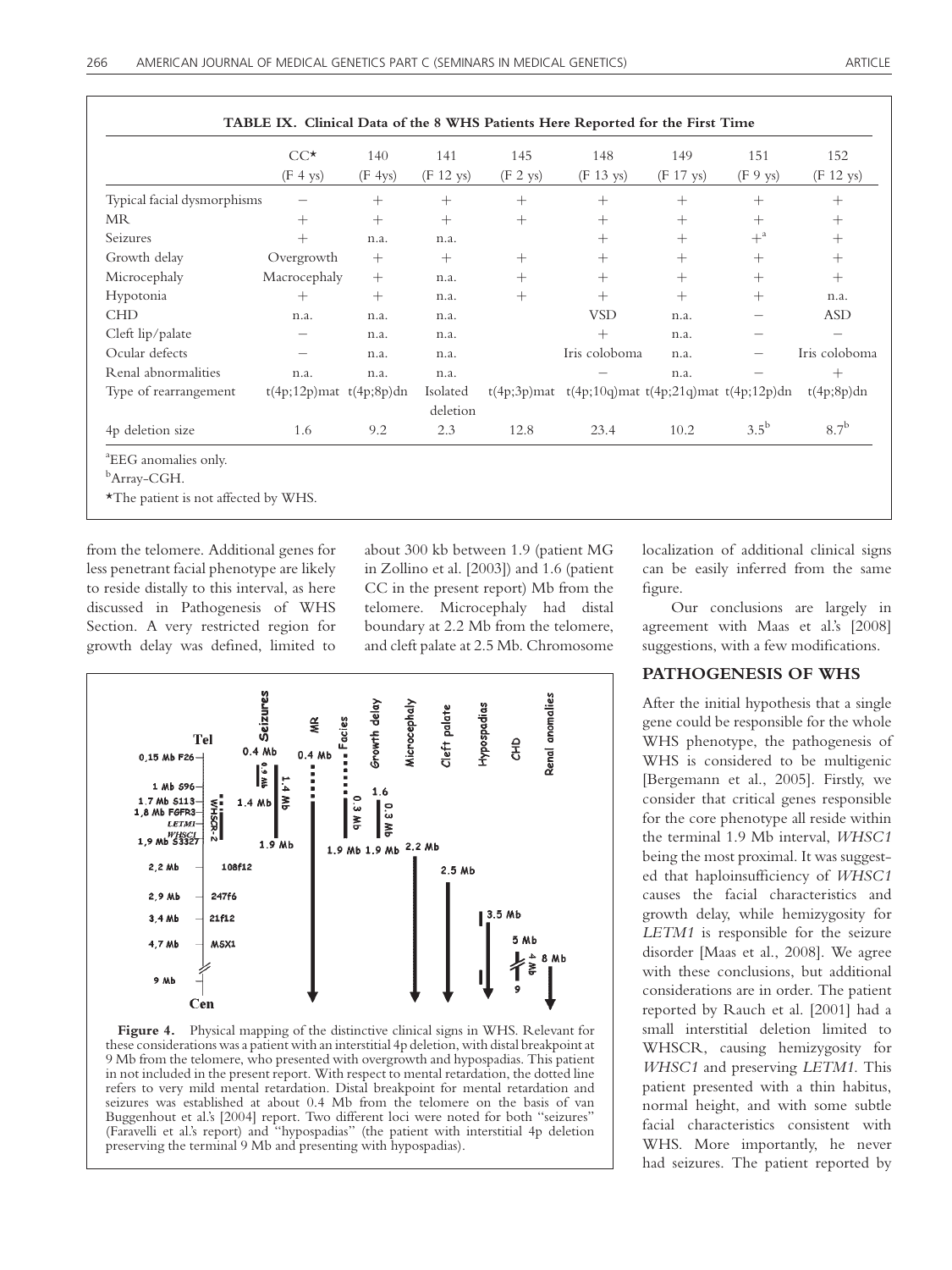|                             | $CC^{\star}$<br>(F 4 y s)     | 140<br>(F 4ys) | 141<br>(F 12 ys)     | 145<br>(F 2 y s) | 148<br>(F 13 ys)                               | 149<br>(F 17 ys) | 151<br>(F 9 y s) | 152<br>(F 12 ys) |
|-----------------------------|-------------------------------|----------------|----------------------|------------------|------------------------------------------------|------------------|------------------|------------------|
| Typical facial dysmorphisms |                               | $^{+}$         | $^{+}$               | $^{+}$           | $^{+}$                                         | $^{+}$           | $^{+}$           | $^{+}$           |
| <b>MR</b>                   | $^{+}$                        | $^{+}$         | $^{+}$               | $^{+}$           | $^{+}$                                         | $^{+}$           | $^{+}$           | $^{+}$           |
| Seizures                    | $^{+}$                        | n.a.           | n.a.                 |                  | $^{+}$                                         | $^{+}$           | $+$ <sup>a</sup> | $^{+}$           |
| Growth delay                | Overgrowth                    | $^{+}$         | $^{+}$               | $^{+}$           | $^{+}$                                         | $^{+}$           | $^{+}$           | $^{+}$           |
| Microcephaly                | Macrocephaly                  | $^{+}$         | n.a.                 | $^{+}$           | $^{+}$                                         | $^{+}$           | $^{+}$           | $^{+}$           |
| Hypotonia                   | $^{+}$                        | $^{+}$         | n.a.                 | $^{+}$           | $^{+}$                                         | $^{+}$           | $^{+}$           | n.a.             |
| <b>CHD</b>                  | n.a.                          | n.a.           | n.a.                 |                  | <b>VSD</b>                                     | n.a.             |                  | <b>ASD</b>       |
| Cleft lip/palate            |                               | n.a.           | n.a.                 |                  | $^{+}$                                         | n.a.             |                  |                  |
| Ocular defects              |                               | n.a.           | n.a.                 |                  | Iris coloboma                                  | n.a.             |                  | Iris coloboma    |
| Renal abnormalities         | n.a.                          | n.a.           | n.a.                 |                  |                                                | n.a.             |                  | $^{+}$           |
| Type of rearrangement       | $t(4p;12p)$ mat $t(4p;8p)$ dn |                | Isolated<br>deletion | $t(4p;3p)$ mat   | $t(4p;10q)$ mat $t(4p;21q)$ mat $t(4p;12p)$ dn |                  |                  | t(4p;8p)dn       |
| 4p deletion size            | 1.6                           | 9.2            | 2.3                  | 12.8             | 23.4                                           | 10.2             | $3.5^{\rm b}$    | 8.7 <sup>b</sup> |

from the telomere. Additional genes for less penetrant facial phenotype are likely to reside distally to this interval, as here discussed in Pathogenesis of WHS Section. A very restricted region for growth delay was defined, limited to about 300 kb between 1.9 (patient MG in Zollino et al. [2003]) and 1.6 (patient CC in the present report) Mb from the telomere. Microcephaly had distal boundary at 2.2 Mb from the telomere, and cleft palate at 2.5 Mb. Chromosome



Figure 4. Physical mapping of the distinctive clinical signs in WHS. Relevant for these considerations was a patient with an interstitial 4p deletion, with distal breakpoint at 9 Mb from the telomere, who presented with overgrowth and hypospadias. This patient in not included in the present report. With respect to mental retardation, the dotted line refers to very mild mental retardation. Distal breakpoint for mental retardation and seizures was established at about 0.4 Mb from the telomere on the basis of van Buggenhout et al.'s [2004] report. Two different loci were noted for both ''seizures'' (Faravelli et al.'s report) and ''hypospadias'' (the patient with interstitial 4p deletion preserving the terminal 9 Mb and presenting with hypospadias).

localization of additional clinical signs can be easily inferred from the same figure.

Our conclusions are largely in agreement with Maas et al.'s [2008] suggestions, with a few modifications.

### PATHOGENESIS OF WHS

After the initial hypothesis that a single gene could be responsible for the whole WHS phenotype, the pathogenesis of WHS is considered to be multigenic [Bergemann et al., 2005]. Firstly, we consider that critical genes responsible for the core phenotype all reside within the terminal 1.9 Mb interval, WHSC1 being the most proximal. It was suggested that haploinsufficiency of WHSC1 causes the facial characteristics and growth delay, while hemizygosity for LETM1 is responsible for the seizure disorder [Maas et al., 2008]. We agree with these conclusions, but additional considerations are in order. The patient reported by Rauch et al. [2001] had a small interstitial deletion limited to WHSCR, causing hemizygosity for WHSC1 and preserving LETM1. This patient presented with a thin habitus, normal height, and with some subtle facial characteristics consistent with WHS. More importantly, he never had seizures. The patient reported by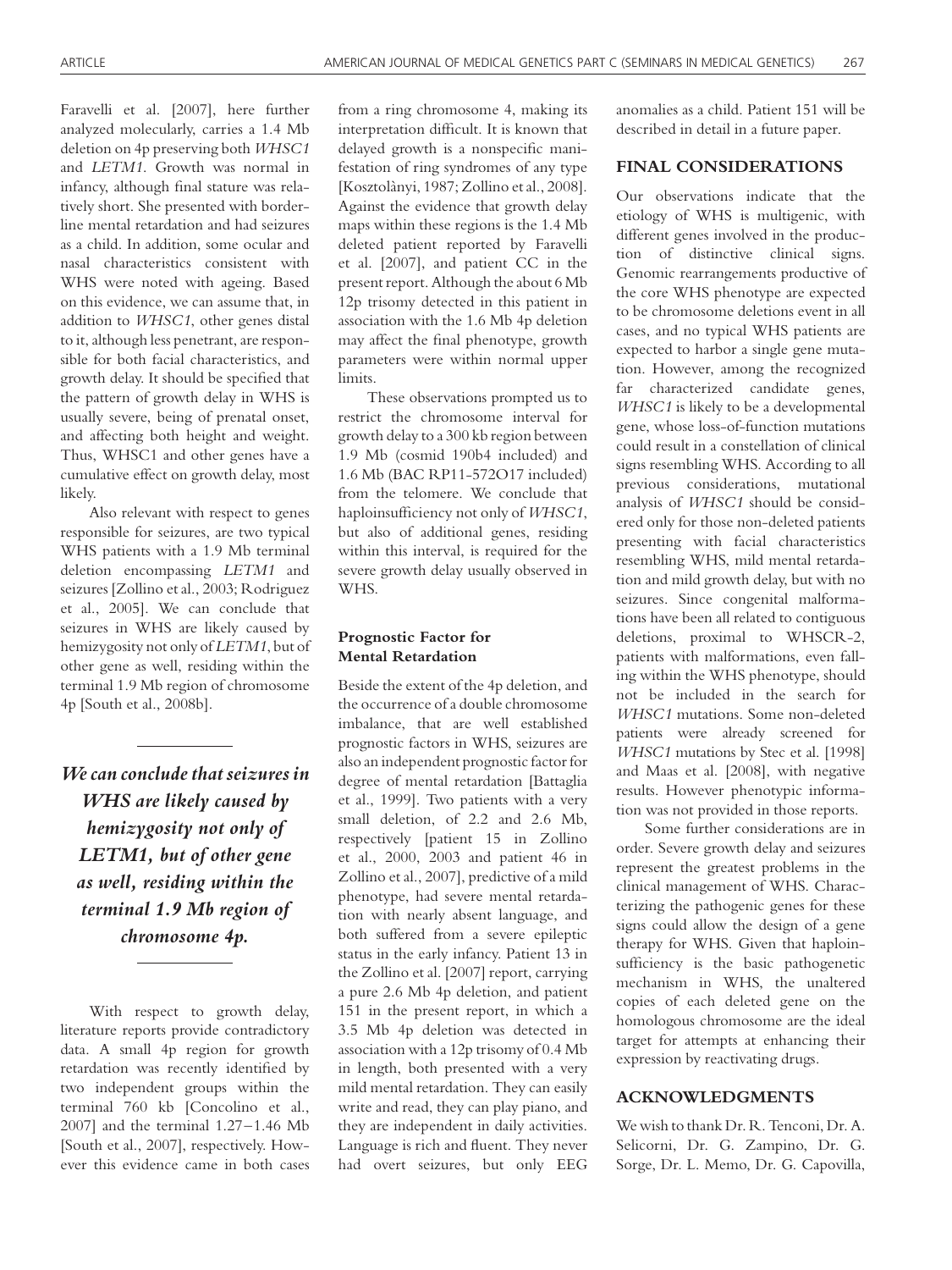Faravelli et al. [2007], here further analyzed molecularly, carries a 1.4 Mb deletion on 4p preserving both WHSC1 and LETM1. Growth was normal in infancy, although final stature was relatively short. She presented with borderline mental retardation and had seizures as a child. In addition, some ocular and nasal characteristics consistent with WHS were noted with ageing. Based on this evidence, we can assume that, in addition to WHSC1, other genes distal to it, although less penetrant, are responsible for both facial characteristics, and growth delay. It should be specified that the pattern of growth delay in WHS is usually severe, being of prenatal onset, and affecting both height and weight. Thus, WHSC1 and other genes have a cumulative effect on growth delay, most likely.

Also relevant with respect to genes responsible for seizures, are two typical WHS patients with a 1.9 Mb terminal deletion encompassing LETM1 and seizures [Zollino et al., 2003; Rodriguez et al., 2005]. We can conclude that seizures in WHS are likely caused by hemizygosity not only of LETM1, but of other gene as well, residing within the terminal 1.9 Mb region of chromosome 4p [South et al., 2008b].

We can conclude that seizures in WHS are likely caused by hemizygosity not only of LETM1, but of other gene as well, residing within the terminal 1.9 Mb region of chromosome 4p.

With respect to growth delay, literature reports provide contradictory data. A small 4p region for growth retardation was recently identified by two independent groups within the terminal 760 kb [Concolino et al., 2007] and the terminal 1.27–1.46 Mb [South et al., 2007], respectively. However this evidence came in both cases

from a ring chromosome 4, making its interpretation difficult. It is known that delayed growth is a nonspecific manifestation of ring syndromes of any type [Kosztolànyi, 1987; Zollino et al., 2008]. Against the evidence that growth delay maps within these regions is the 1.4 Mb deleted patient reported by Faravelli et al. [2007], and patient CC in the present report. Although the about 6 Mb 12p trisomy detected in this patient in association with the 1.6 Mb 4p deletion may affect the final phenotype, growth parameters were within normal upper limits.

These observations prompted us to restrict the chromosome interval for growth delay to a 300 kb region between 1.9 Mb (cosmid 190b4 included) and 1.6 Mb (BAC RP11-572O17 included) from the telomere. We conclude that haploinsufficiency not only of WHSC1, but also of additional genes, residing within this interval, is required for the severe growth delay usually observed in WHS.

### Prognostic Factor for Mental Retardation

Beside the extent of the 4p deletion, and the occurrence of a double chromosome imbalance, that are well established prognostic factors in WHS, seizures are also an independent prognostic factor for degree of mental retardation [Battaglia et al., 1999]. Two patients with a very small deletion, of 2.2 and 2.6 Mb, respectively [patient 15 in Zollino et al., 2000, 2003 and patient 46 in Zollino et al., 2007], predictive of a mild phenotype, had severe mental retardation with nearly absent language, and both suffered from a severe epileptic status in the early infancy. Patient 13 in the Zollino et al. [2007] report, carrying a pure 2.6 Mb 4p deletion, and patient 151 in the present report, in which a 3.5 Mb 4p deletion was detected in association with a 12p trisomy of 0.4 Mb in length, both presented with a very mild mental retardation. They can easily write and read, they can play piano, and they are independent in daily activities. Language is rich and fluent. They never had overt seizures, but only EEG

anomalies as a child. Patient 151 will be described in detail in a future paper.

### FINAL CONSIDERATIONS

Our observations indicate that the etiology of WHS is multigenic, with different genes involved in the production of distinctive clinical signs. Genomic rearrangements productive of the core WHS phenotype are expected to be chromosome deletions event in all cases, and no typical WHS patients are expected to harbor a single gene mutation. However, among the recognized far characterized candidate genes, WHSC1 is likely to be a developmental gene, whose loss-of-function mutations could result in a constellation of clinical signs resembling WHS. According to all previous considerations, mutational analysis of WHSC1 should be considered only for those non-deleted patients presenting with facial characteristics resembling WHS, mild mental retardation and mild growth delay, but with no seizures. Since congenital malformations have been all related to contiguous deletions, proximal to WHSCR-2, patients with malformations, even falling within the WHS phenotype, should not be included in the search for WHSC1 mutations. Some non-deleted patients were already screened for WHSC1 mutations by Stec et al. [1998] and Maas et al. [2008], with negative results. However phenotypic information was not provided in those reports.

Some further considerations are in order. Severe growth delay and seizures represent the greatest problems in the clinical management of WHS. Characterizing the pathogenic genes for these signs could allow the design of a gene therapy for WHS. Given that haploinsufficiency is the basic pathogenetic mechanism in WHS, the unaltered copies of each deleted gene on the homologous chromosome are the ideal target for attempts at enhancing their expression by reactivating drugs.

### ACKNOWLEDGMENTS

We wish to thank Dr. R. Tenconi, Dr. A. Selicorni, Dr. G. Zampino, Dr. G. Sorge, Dr. L. Memo, Dr. G. Capovilla,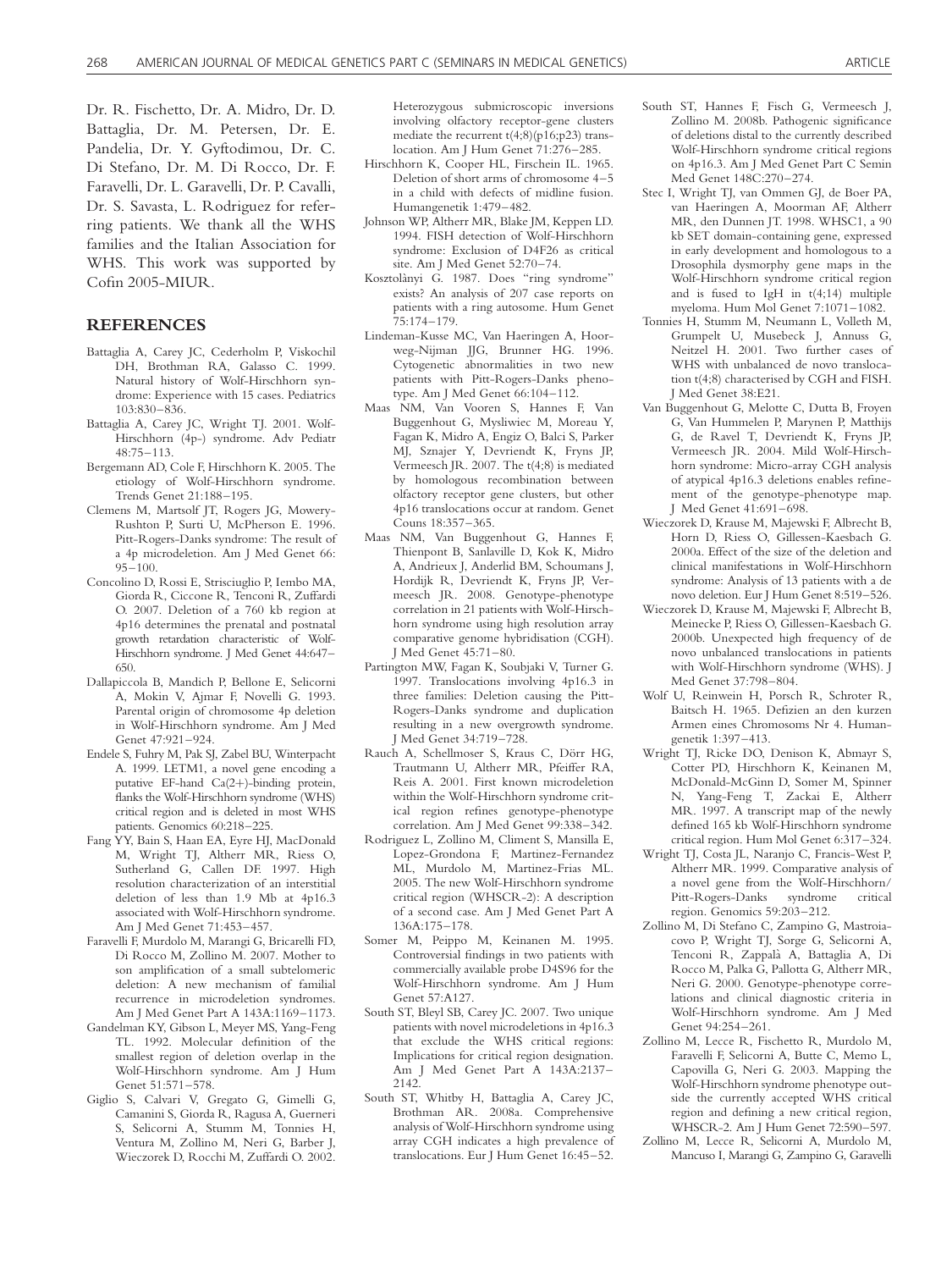Dr. R. Fischetto, Dr. A. Midro, Dr. D. Battaglia, Dr. M. Petersen, Dr. E. Pandelia, Dr. Y. Gyftodimou, Dr. C. Di Stefano, Dr. M. Di Rocco, Dr. F. Faravelli, Dr. L. Garavelli, Dr. P. Cavalli, Dr. S. Savasta, L. Rodriguez for referring patients. We thank all the WHS families and the Italian Association for WHS. This work was supported by Cofin 2005-MIUR.

#### REFERENCES

- Battaglia A, Carey JC, Cederholm P, Viskochil DH, Brothman RA, Galasso C. 1999. Natural history of Wolf-Hirschhorn syndrome: Experience with 15 cases. Pediatrics 103:830–836.
- Battaglia A, Carey JC, Wright TJ. 2001. Wolf-Hirschhorn (4p-) syndrome. Adv Pediatr 48:75–113.
- Bergemann AD, Cole F, Hirschhorn K. 2005. The etiology of Wolf-Hirschhorn syndrome. Trends Genet 21:188–195.
- Clemens M, Martsolf JT, Rogers JG, Mowery-Rushton P, Surti U, McPherson E. 1996. Pitt-Rogers-Danks syndrome: The result of a 4p microdeletion. Am J Med Genet 66: 95–100.
- Concolino D, Rossi E, Strisciuglio P, Iembo MA, Giorda R, Ciccone R, Tenconi R, Zuffardi O. 2007. Deletion of a 760 kb region at 4p16 determines the prenatal and postnatal growth retardation characteristic of Wolf-Hirschhorn syndrome. J Med Genet 44:647– 650.
- Dallapiccola B, Mandich P, Bellone E, Selicorni A, Mokin V, Ajmar F, Novelli G. 1993. Parental origin of chromosome 4p deletion in Wolf-Hirschhorn syndrome. Am J Med Genet 47:921–924.
- Endele S, Fuhry M, Pak SJ, Zabel BU, Winterpacht A. 1999. LETM1, a novel gene encoding a putative EF-hand  $Ca(2+)$ -binding protein, flanks the Wolf-Hirschhorn syndrome (WHS) critical region and is deleted in most WHS patients. Genomics 60:218–225.
- Fang YY, Bain S, Haan EA, Eyre HJ, MacDonald M, Wright TJ, Altherr MR, Riess O, Sutherland G, Callen DF. 1997. High resolution characterization of an interstitial deletion of less than 1.9 Mb at 4p16.3 associated with Wolf-Hirschhorn syndrome. Am J Med Genet 71:453–457.
- Faravelli F, Murdolo M, Marangi G, Bricarelli FD, Di Rocco M, Zollino M. 2007. Mother to son amplification of a small subtelomeric deletion: A new mechanism of familial recurrence in microdeletion syndromes. Am J Med Genet Part A 143A:1169–1173.
- Gandelman KY, Gibson L, Meyer MS, Yang-Feng TL. 1992. Molecular definition of the smallest region of deletion overlap in the Wolf-Hirschhorn syndrome. Am J Hum Genet 51:571–578.
- Giglio S, Calvari V, Gregato G, Gimelli G, Camanini S, Giorda R, Ragusa A, Guerneri S, Selicorni A, Stumm M, Tonnies H, Ventura M, Zollino M, Neri G, Barber J, Wieczorek D, Rocchi M, Zuffardi O. 2002.

Heterozygous submicroscopic inversions involving olfactory receptor-gene clusters mediate the recurrent  $t(4;8)(p16;p23)$  translocation. Am J Hum Genet 71:276–285.

- Hirschhorn K, Cooper HL, Firschein IL. 1965. Deletion of short arms of chromosome 4–5 in a child with defects of midline fusion. Humangenetik 1:479–482.
- Johnson WP, Altherr MR, Blake JM, Keppen LD. 1994. FISH detection of Wolf-Hirschhorn syndrome: Exclusion of D4F26 as critical site. Am J Med Genet 52:70–74.
- Kosztolànyi G. 1987. Does "ring syndrome" exists? An analysis of 207 case reports on patients with a ring autosome. Hum Genet 75:174–179.
- Lindeman-Kusse MC, Van Haeringen A, Hoorweg-Nijman JJG, Brunner HG. 1996. Cytogenetic abnormalities in two new patients with Pitt-Rogers-Danks phenotype. Am J Med Genet 66:104–112.
- Maas NM, Van Vooren S, Hannes F, Van Buggenhout G, Mysliwiec M, Moreau Y, Fagan K, Midro A, Engiz O, Balci S, Parker MJ, Sznajer Y, Devriendt K, Fryns JP, Vermeesch JR. 2007. The t(4;8) is mediated by homologous recombination between olfactory receptor gene clusters, but other 4p16 translocations occur at random. Genet Couns 18:357–365.
- Maas NM, Van Buggenhout G, Hannes F, Thienpont B, Sanlaville D, Kok K, Midro A, Andrieux J, Anderlid BM, Schoumans J, Hordijk R, Devriendt K, Fryns JP, Vermeesch JR. 2008. Genotype-phenotype correlation in 21 patients with Wolf-Hirschhorn syndrome using high resolution array comparative genome hybridisation (CGH). J Med Genet 45:71–80.
- Partington MW, Fagan K, Soubjaki V, Turner G. 1997. Translocations involving 4p16.3 in three families: Deletion causing the Pitt-Rogers-Danks syndrome and duplication resulting in a new overgrowth syndrome. J Med Genet 34:719–728.
- Rauch A, Schellmoser S, Kraus C, Dörr HG, Trautmann U, Altherr MR, Pfeiffer RA, Reis A. 2001. First known microdeletion within the Wolf-Hirschhorn syndrome critical region refines genotype-phenotype correlation. Am J Med Genet 99:338–342.
- Rodriguez L, Zollino M, Climent S, Mansilla E, Lopez-Grondona F, Martinez-Fernandez ML, Murdolo M, Martinez-Frias ML. 2005. The new Wolf-Hirschhorn syndrome critical region (WHSCR-2): A description of a second case. Am J Med Genet Part A 136A:175–178.
- Somer M, Peippo M, Keinanen M. 1995. Controversial findings in two patients with commercially available probe D4S96 for the Wolf-Hirschhorn syndrome. Am J Hum Genet 57:A127.
- South ST, Bleyl SB, Carey JC. 2007. Two unique patients with novel microdeletions in 4p16.3 that exclude the WHS critical regions: Implications for critical region designation. Am J Med Genet Part A 143A:2137– 2142.
- South ST, Whitby H, Battaglia A, Carey JC, Brothman AR. 2008a. Comprehensive analysis of Wolf-Hirschhorn syndrome using array CGH indicates a high prevalence of translocations. Eur J Hum Genet 16:45–52.
- South ST, Hannes F, Fisch G, Vermeesch J, Zollino M. 2008b. Pathogenic significance of deletions distal to the currently described Wolf-Hirschhorn syndrome critical regions on 4p16.3. Am J Med Genet Part C Semin Med Genet 148C:270–274.
- Stec I, Wright TJ, van Ommen GJ, de Boer PA, van Haeringen A, Moorman AF, Altherr MR, den Dunnen JT. 1998. WHSC1, a 90 kb SET domain-containing gene, expressed in early development and homologous to a Drosophila dysmorphy gene maps in the Wolf-Hirschhorn syndrome critical region and is fused to IgH in t(4;14) multiple myeloma. Hum Mol Genet 7:1071–1082.
- Tonnies H, Stumm M, Neumann L, Volleth M, Grumpelt U, Musebeck J, Annuss G, Neitzel H. 2001. Two further cases of WHS with unbalanced de novo translocation t(4;8) characterised by CGH and FISH. J Med Genet 38:E21.
- Van Buggenhout G, Melotte C, Dutta B, Froyen G, Van Hummelen P, Marynen P, Matthijs G, de Ravel T, Devriendt K, Fryns JP, Vermeesch JR. 2004. Mild Wolf-Hirschhorn syndrome: Micro-array CGH analysis of atypical 4p16.3 deletions enables refinement of the genotype-phenotype map. J Med Genet 41:691–698.
- Wieczorek D, Krause M, Majewski F, Albrecht B, Horn D, Riess O, Gillessen-Kaesbach G. 2000a. Effect of the size of the deletion and clinical manifestations in Wolf-Hirschhorn syndrome: Analysis of 13 patients with a de novo deletion. Eur J Hum Genet 8:519–526.
- Wieczorek D, Krause M, Majewski F, Albrecht B, Meinecke P, Riess O, Gillessen-Kaesbach G. 2000b. Unexpected high frequency of de novo unbalanced translocations in patients with Wolf-Hirschhorn syndrome (WHS). J Med Genet 37:798–804.
- Wolf U, Reinwein H, Porsch R, Schroter R, Baitsch H. 1965. Defizien an den kurzen Armen eines Chromosoms Nr 4. Humangenetik 1:397–413.
- Wright TJ, Ricke DO, Denison K, Abmayr S, Cotter PD, Hirschhorn K, Keinanen M, McDonald-McGinn D, Somer M, Spinner N, Yang-Feng T, Zackai E, Altherr MR. 1997. A transcript map of the newly defined 165 kb Wolf-Hirschhorn syndrome critical region. Hum Mol Genet 6:317–324.
- Wright TJ, Costa JL, Naranjo C, Francis-West P, Altherr MR. 1999. Comparative analysis of a novel gene from the Wolf-Hirschhorn/ Pitt-Rogers-Danks region. Genomics 59:203–212.
- Zollino M, Di Stefano C, Zampino G, Mastroiacovo P, Wright TJ, Sorge G, Selicorni A, Tenconi R, Zappala` A, Battaglia A, Di Rocco M, Palka G, Pallotta G, Altherr MR, Neri G. 2000. Genotype-phenotype correlations and clinical diagnostic criteria in Wolf-Hirschhorn syndrome. Am J Med Genet 94:254–261.
- Zollino M, Lecce R, Fischetto R, Murdolo M, Faravelli F, Selicorni A, Butte C, Memo L, Capovilla G, Neri G. 2003. Mapping the Wolf-Hirschhorn syndrome phenotype outside the currently accepted WHS critical region and defining a new critical region, WHSCR-2. Am J Hum Genet 72:590–597.
- Zollino M, Lecce R, Selicorni A, Murdolo M, Mancuso I, Marangi G, Zampino G, Garavelli